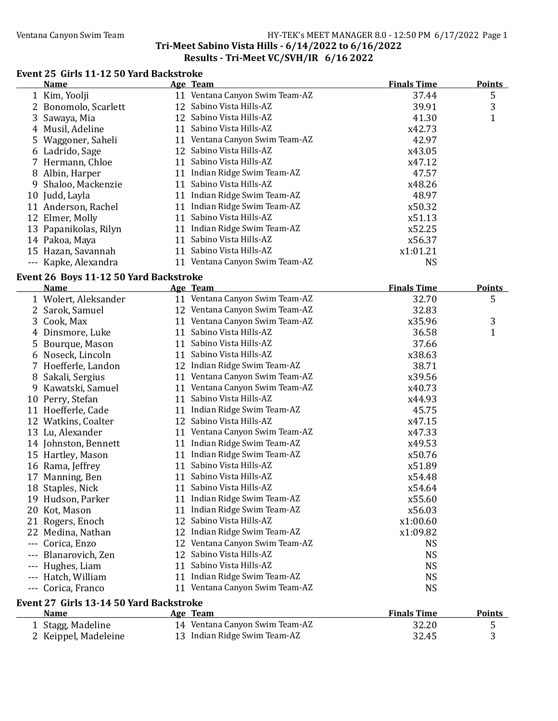#### Ventana Canyon Swim Team Team HY-TEK's MEET MANAGER 8.0 - 12:50 PM 6/17/2022 Page 1 Tri-Meet Sabino Vista Hills - 6/14/2022 to 6/16/2022 Results - Tri-Meet VC/SVH/IR 6/16 2022

### Event 25 Girls 11-12 50 Yard Backstroke

| <b>Name</b>           |    | Age Team                       | <b>Finals Time</b> | <b>Points</b> |
|-----------------------|----|--------------------------------|--------------------|---------------|
| 1 Kim, Yoolji         |    | 11 Ventana Canyon Swim Team-AZ | 37.44              | 5             |
| 2 Bonomolo, Scarlett  |    | 12 Sabino Vista Hills-AZ       | 39.91              | 3             |
| 3 Sawaya, Mia         |    | 12 Sabino Vista Hills-AZ       | 41.30              |               |
| 4 Musil, Adeline      | 11 | Sabino Vista Hills-AZ          | x42.73             |               |
| 5 Waggoner, Saheli    |    | 11 Ventana Canyon Swim Team-AZ | 42.97              |               |
| 6 Ladrido, Sage       |    | 12 Sabino Vista Hills-AZ       | x43.05             |               |
| 7 Hermann, Chloe      | 11 | Sabino Vista Hills-AZ          | x47.12             |               |
| 8 Albin, Harper       | 11 | Indian Ridge Swim Team-AZ      | 47.57              |               |
| 9 Shaloo, Mackenzie   | 11 | Sabino Vista Hills-AZ          | x48.26             |               |
| 10 Judd, Layla        | 11 | Indian Ridge Swim Team-AZ      | 48.97              |               |
| 11 Anderson, Rachel   | 11 | Indian Ridge Swim Team-AZ      | x50.32             |               |
| 12 Elmer, Molly       | 11 | Sabino Vista Hills-AZ          | x51.13             |               |
| 13 Papanikolas, Rilyn | 11 | Indian Ridge Swim Team-AZ      | x52.25             |               |
| 14 Pakoa, Maya        | 11 | Sabino Vista Hills-AZ          | x56.37             |               |
| 15 Hazan, Savannah    | 11 | Sabino Vista Hills-AZ          | x1:01.21           |               |
| --- Kapke, Alexandra  |    | 11 Ventana Canyon Swim Team-AZ | NS                 |               |

#### Event 26 Boys 11-12 50 Yard Backstroke

|          | <b>Name</b>                             |    | Age Team                       | <b>Finals Time</b> | <b>Points</b> |
|----------|-----------------------------------------|----|--------------------------------|--------------------|---------------|
|          | 1 Wolert, Aleksander                    |    | 11 Ventana Canyon Swim Team-AZ | 32.70              | 5             |
|          | 2 Sarok, Samuel                         |    | 12 Ventana Canyon Swim Team-AZ | 32.83              |               |
| 3        | Cook, Max                               |    | 11 Ventana Canyon Swim Team-AZ | x35.96             | 3             |
|          | 4 Dinsmore, Luke                        | 11 | Sabino Vista Hills-AZ          | 36.58              | $\mathbf{1}$  |
|          | 5 Bourque, Mason                        |    | 11 Sabino Vista Hills-AZ       | 37.66              |               |
|          | 6 Noseck, Lincoln                       |    | 11 Sabino Vista Hills-AZ       | x38.63             |               |
|          | 7 Hoefferle, Landon                     |    | 12 Indian Ridge Swim Team-AZ   | 38.71              |               |
|          | 8 Sakali, Sergius                       |    | 11 Ventana Canyon Swim Team-AZ | x39.56             |               |
| 9        | Kawatski, Samuel                        |    | 11 Ventana Canyon Swim Team-AZ | x40.73             |               |
|          | 10 Perry, Stefan                        | 11 | Sabino Vista Hills-AZ          | x44.93             |               |
|          | 11 Hoefferle, Cade                      | 11 | Indian Ridge Swim Team-AZ      | 45.75              |               |
|          | 12 Watkins, Coalter                     |    | 12 Sabino Vista Hills-AZ       | x47.15             |               |
|          | 13 Lu, Alexander                        |    | 11 Ventana Canyon Swim Team-AZ | x47.33             |               |
|          | 14 Johnston, Bennett                    |    | 11 Indian Ridge Swim Team-AZ   | x49.53             |               |
|          | 15 Hartley, Mason                       |    | 11 Indian Ridge Swim Team-AZ   | x50.76             |               |
|          | 16 Rama, Jeffrey                        |    | 11 Sabino Vista Hills-AZ       | x51.89             |               |
| 17       | Manning, Ben                            | 11 | Sabino Vista Hills-AZ          | x54.48             |               |
|          | 18 Staples, Nick                        |    | 11 Sabino Vista Hills-AZ       | x54.64             |               |
|          | 19 Hudson, Parker                       |    | 11 Indian Ridge Swim Team-AZ   | x55.60             |               |
|          | 20 Kot, Mason                           | 11 | Indian Ridge Swim Team-AZ      | x56.03             |               |
|          | 21 Rogers, Enoch                        |    | 12 Sabino Vista Hills-AZ       | x1:00.60           |               |
| 22       | Medina, Nathan                          |    | 12 Indian Ridge Swim Team-AZ   | x1:09.82           |               |
| $- - -$  | Corica, Enzo                            |    | 12 Ventana Canyon Swim Team-AZ | <b>NS</b>          |               |
|          | Blanarovich, Zen                        |    | 12 Sabino Vista Hills-AZ       | <b>NS</b>          |               |
|          | Hughes, Liam                            |    | 11 Sabino Vista Hills-AZ       | <b>NS</b>          |               |
|          | Hatch, William                          |    | 11 Indian Ridge Swim Team-AZ   | <b>NS</b>          |               |
| $\cdots$ | Corica, Franco                          |    | 11 Ventana Canyon Swim Team-AZ | <b>NS</b>          |               |
|          | Event 27 Girls 13-14 50 Yard Backstroke |    |                                |                    |               |
|          | <b>Name</b>                             |    | Age Team                       | <b>Finals Time</b> | <b>Points</b> |
|          | 1 Stagg, Madeline                       |    | 14 Ventana Canyon Swim Team-AZ | 32.20              | 5             |
|          | 2 Keippel, Madeleine                    |    | 13 Indian Ridge Swim Team-AZ   | 32.45              | 3             |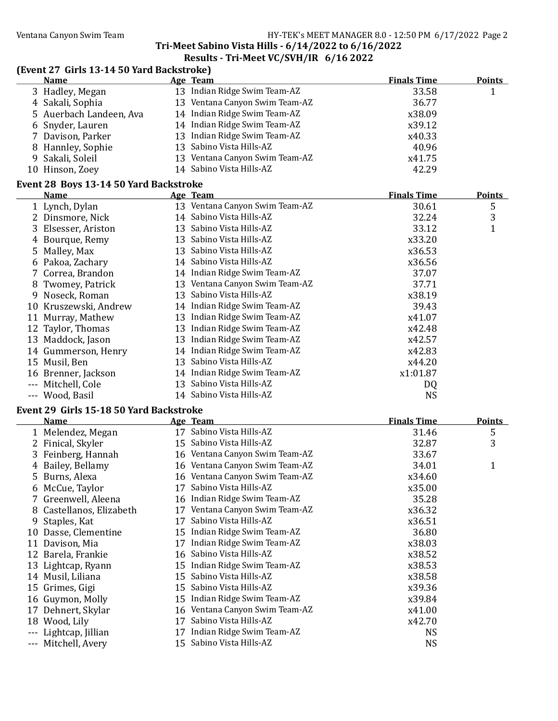### Ventana Canyon Swim Team HY-TEK's MEET MANAGER 8.0 - 12:50 PM 6/17/2022 Page 2

#### Tri-Meet Sabino Vista Hills - 6/14/2022 to 6/16/2022 Results - Tri-Meet VC/SVH/IR 6/16 2022

| (Event 27 Girls 13-14 50 Yard Backstroke)<br><b>Name</b> | Age Team                                                       | <b>Finals Time</b> | <b>Points</b> |
|----------------------------------------------------------|----------------------------------------------------------------|--------------------|---------------|
| 3 Hadley, Megan                                          | 13 Indian Ridge Swim Team-AZ                                   | 33.58              | $\mathbf{1}$  |
| 4 Sakali, Sophia                                         | 13 Ventana Canyon Swim Team-AZ                                 | 36.77              |               |
| 5 Auerbach Landeen, Ava                                  | 14 Indian Ridge Swim Team-AZ                                   | x38.09             |               |
| 6 Snyder, Lauren                                         | 14 Indian Ridge Swim Team-AZ                                   | x39.12             |               |
| 7 Davison, Parker                                        | 13 Indian Ridge Swim Team-AZ                                   | x40.33             |               |
| 8 Hannley, Sophie                                        | 13 Sabino Vista Hills-AZ                                       | 40.96              |               |
| 9 Sakali, Soleil                                         | 13 Ventana Canyon Swim Team-AZ                                 | x41.75             |               |
| 10 Hinson, Zoey                                          | 14 Sabino Vista Hills-AZ                                       | 42.29              |               |
| Event 28 Boys 13-14 50 Yard Backstroke                   |                                                                |                    |               |
| <b>Name</b>                                              | Age Team                                                       | <b>Finals Time</b> | <b>Points</b> |
| 1 Lynch, Dylan                                           | 13 Ventana Canyon Swim Team-AZ                                 | 30.61              | 5             |
| 2 Dinsmore, Nick                                         | 14 Sabino Vista Hills-AZ                                       | 32.24              | 3             |
| 3 Elsesser, Ariston                                      | 13 Sabino Vista Hills-AZ                                       | 33.12              | $\mathbf{1}$  |
| 4 Bourque, Remy                                          | 13 Sabino Vista Hills-AZ                                       | x33.20             |               |
| 5 Malley, Max                                            | 13 Sabino Vista Hills-AZ                                       | x36.53             |               |
| 6 Pakoa, Zachary                                         | 14 Sabino Vista Hills-AZ                                       | x36.56             |               |
| 7 Correa, Brandon                                        | 14 Indian Ridge Swim Team-AZ                                   | 37.07              |               |
| 8 Twomey, Patrick                                        | 13 Ventana Canyon Swim Team-AZ                                 | 37.71              |               |
| 9 Noseck, Roman                                          | 13 Sabino Vista Hills-AZ                                       | x38.19             |               |
| 10 Kruszewski, Andrew                                    | 14 Indian Ridge Swim Team-AZ                                   | 39.43              |               |
| 11 Murray, Mathew                                        | 13 Indian Ridge Swim Team-AZ                                   | x41.07             |               |
| 12 Taylor, Thomas                                        | 13 Indian Ridge Swim Team-AZ                                   | x42.48             |               |
| 13 Maddock, Jason                                        | 13 Indian Ridge Swim Team-AZ                                   | x42.57             |               |
| 14 Gummerson, Henry                                      | 14 Indian Ridge Swim Team-AZ                                   | x42.83             |               |
| 15 Musil, Ben                                            | 13 Sabino Vista Hills-AZ                                       | x44.20             |               |
| 16 Brenner, Jackson                                      | 14 Indian Ridge Swim Team-AZ                                   | x1:01.87           |               |
| --- Mitchell, Cole                                       | 13 Sabino Vista Hills-AZ                                       | DQ                 |               |
| --- Wood, Basil                                          | 14 Sabino Vista Hills-AZ                                       | <b>NS</b>          |               |
|                                                          |                                                                |                    |               |
| Event 29 Girls 15-18 50 Yard Backstroke<br><b>Name</b>   | Age Team                                                       | <b>Finals Time</b> | <b>Points</b> |
| 1 Melendez, Megan                                        | 17 Sabino Vista Hills-AZ                                       | 31.46              | 5             |
| 2 Finical, Skyler                                        | 15 Sabino Vista Hills-AZ                                       | 32.87              | 3             |
| 3 Feinberg, Hannah                                       | 16 Ventana Canyon Swim Team-AZ                                 | 33.67              |               |
| 4 Bailey, Bellamy                                        | 16 Ventana Canyon Swim Team-AZ                                 | 34.01              | $\mathbf{1}$  |
|                                                          | 16 Ventana Canyon Swim Team-AZ                                 |                    |               |
| 5 Burns, Alexa                                           | 17 Sabino Vista Hills-AZ                                       | x34.60<br>x35.00   |               |
| 6 McCue, Taylor                                          |                                                                |                    |               |
| 7 Greenwell, Aleena                                      | 16 Indian Ridge Swim Team-AZ<br>17 Ventana Canyon Swim Team-AZ | 35.28              |               |
| 8 Castellanos, Elizabeth                                 |                                                                | x36.32             |               |
| Staples, Kat<br>9                                        | 17 Sabino Vista Hills-AZ                                       | x36.51             |               |
| 10 Dasse, Clementine                                     | 15 Indian Ridge Swim Team-AZ                                   | 36.80              |               |
| 11 Davison, Mia                                          | 17 Indian Ridge Swim Team-AZ                                   | x38.03             |               |
| 12 Barela, Frankie                                       | 16 Sabino Vista Hills-AZ                                       | x38.52             |               |
| 13 Lightcap, Ryann                                       | 15 Indian Ridge Swim Team-AZ                                   | x38.53             |               |
| 14 Musil, Liliana                                        | 15 Sabino Vista Hills-AZ                                       | x38.58             |               |
| 15 Grimes, Gigi                                          | 15 Sabino Vista Hills-AZ                                       | x39.36             |               |
| Guymon, Molly<br>16                                      | 15 Indian Ridge Swim Team-AZ                                   | x39.84             |               |
| Dehnert, Skylar<br>17                                    | 16 Ventana Canyon Swim Team-AZ                                 | x41.00             |               |
| 18 Wood, Lily                                            | 17 Sabino Vista Hills-AZ                                       | x42.70             |               |
| Lightcap, Jillian<br>$---$                               | 17 Indian Ridge Swim Team-AZ                                   | <b>NS</b>          |               |
| Mitchell, Avery                                          | 15 Sabino Vista Hills-AZ                                       | <b>NS</b>          |               |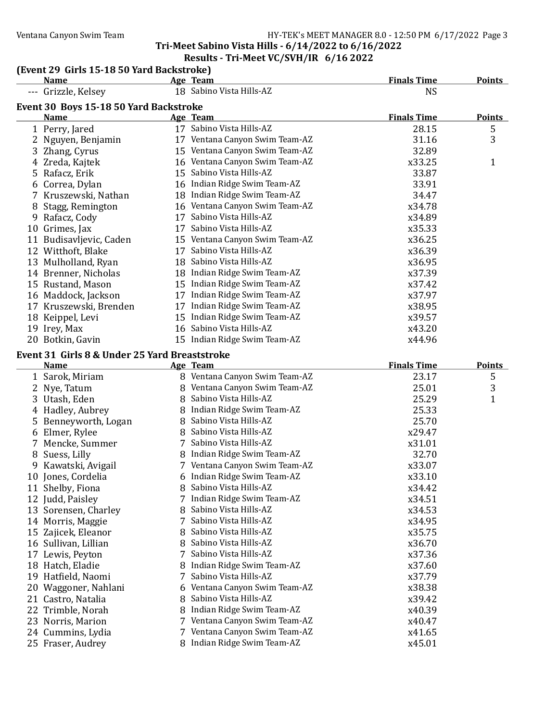#### Ventana Canyon Swim Team Team Franch Canyon Swim Team HY-TEK's MEET MANAGER 8.0 - 12:50 PM 6/17/2022 Page 3 Tri-Meet Sabino Vista Hills - 6/14/2022 to 6/16/2022 Results - Tri-Meet VC/SVH/IR 6/16 2022

#### (Event 29 Girls 15-18 50 Yard Backstroke)

|    | <b>Name</b>                                   |   | Age Team                                                   | <b>Finals Time</b> | <b>Points</b> |
|----|-----------------------------------------------|---|------------------------------------------------------------|--------------------|---------------|
|    | Grizzle, Kelsey                               |   | 18 Sabino Vista Hills-AZ                                   | <b>NS</b>          |               |
|    | Event 30 Boys 15-18 50 Yard Backstroke        |   |                                                            |                    |               |
|    | <b>Name</b>                                   |   | <b>Age Team</b>                                            | <b>Finals Time</b> | <b>Points</b> |
|    | 1 Perry, Jared                                |   | 17 Sabino Vista Hills-AZ                                   | 28.15              | 5             |
|    | 2 Nguyen, Benjamin                            |   | 17 Ventana Canyon Swim Team-AZ                             | 31.16              | 3             |
|    | 3 Zhang, Cyrus                                |   | 15 Ventana Canyon Swim Team-AZ                             | 32.89              |               |
|    | 4 Zreda, Kajtek                               |   | 16 Ventana Canyon Swim Team-AZ                             | x33.25             | $\mathbf{1}$  |
|    | 5 Rafacz, Erik                                |   | 15 Sabino Vista Hills-AZ                                   | 33.87              |               |
|    | 6 Correa, Dylan                               |   | 16 Indian Ridge Swim Team-AZ                               | 33.91              |               |
|    | 7 Kruszewski, Nathan                          |   | 18 Indian Ridge Swim Team-AZ                               | 34.47              |               |
| 8  | Stagg, Remington                              |   | 16 Ventana Canyon Swim Team-AZ                             | x34.78             |               |
|    | 9 Rafacz, Cody                                |   | 17 Sabino Vista Hills-AZ                                   | x34.89             |               |
|    | 10 Grimes, Jax                                |   | 17 Sabino Vista Hills-AZ                                   | x35.33             |               |
|    | 11 Budisavljevic, Caden                       |   | 15 Ventana Canyon Swim Team-AZ                             | x36.25             |               |
|    | 12 Witthoft, Blake                            |   | 17 Sabino Vista Hills-AZ                                   | x36.39             |               |
|    | 13 Mulholland, Ryan                           |   | 18 Sabino Vista Hills-AZ                                   | x36.95             |               |
|    | 14 Brenner, Nicholas                          |   | 18 Indian Ridge Swim Team-AZ                               | x37.39             |               |
|    | 15 Rustand, Mason                             |   | 15 Indian Ridge Swim Team-AZ                               | x37.42             |               |
|    | 16 Maddock, Jackson                           |   | 17 Indian Ridge Swim Team-AZ                               | x37.97             |               |
|    | 17 Kruszewski, Brenden                        |   | 17 Indian Ridge Swim Team-AZ                               | x38.95             |               |
|    | 18 Keippel, Levi                              |   | 15 Indian Ridge Swim Team-AZ                               | x39.57             |               |
|    | 19 Irey, Max                                  |   | 16 Sabino Vista Hills-AZ                                   | x43.20             |               |
|    | 20 Botkin, Gavin                              |   | 15 Indian Ridge Swim Team-AZ                               | x44.96             |               |
|    | Event 31 Girls 8 & Under 25 Yard Breaststroke |   |                                                            |                    |               |
|    | <b>Name</b>                                   |   | Age Team                                                   | <b>Finals Time</b> | <b>Points</b> |
|    | 1 Sarok, Miriam                               |   | 8 Ventana Canyon Swim Team-AZ                              | 23.17              | 5             |
|    | 2 Nye, Tatum                                  |   | 8 Ventana Canyon Swim Team-AZ                              | 25.01              | 3             |
|    | 3 Utash, Eden                                 |   | 8 Sabino Vista Hills-AZ                                    | 25.29              | $\mathbf{1}$  |
|    | 4 Hadley, Aubrey                              |   | 8 Indian Ridge Swim Team-AZ                                | 25.33              |               |
|    | 5 Benneyworth, Logan                          |   | 8 Sabino Vista Hills-AZ                                    | 25.70              |               |
|    | 6 Elmer, Rylee                                |   | 8 Sabino Vista Hills-AZ                                    | x29.47             |               |
|    | 7 Mencke, Summer                              |   | 7 Sabino Vista Hills-AZ                                    | x31.01             |               |
|    | 8 Suess, Lilly                                |   | 8 Indian Ridge Swim Team-AZ                                | 32.70              |               |
|    | 9 Kawatski, Avigail                           |   | 7 Ventana Canyon Swim Team-AZ                              | x33.07             |               |
|    | 10 Jones, Cordelia                            |   | 6 Indian Ridge Swim Team-AZ                                | x33.10             |               |
|    | 11 Shelby, Fiona                              | 8 | Sabino Vista Hills-AZ                                      | x34.42             |               |
|    | 12 Judd, Paisley                              | 7 | Indian Ridge Swim Team-AZ                                  | x34.51             |               |
|    | 13 Sorensen, Charley                          | 8 | Sabino Vista Hills-AZ                                      | x34.53             |               |
|    | 14 Morris, Maggie                             | 7 | Sabino Vista Hills-AZ                                      | x34.95             |               |
|    | 15 Zajicek, Eleanor                           | 8 | Sabino Vista Hills-AZ                                      | x35.75             |               |
|    | 16 Sullivan, Lillian                          | 8 | Sabino Vista Hills-AZ                                      | x36.70             |               |
|    | 17 Lewis, Peyton                              | 7 | Sabino Vista Hills-AZ                                      | x37.36             |               |
|    | 18 Hatch, Eladie                              |   | Indian Ridge Swim Team-AZ                                  | x37.60             |               |
|    | 19 Hatfield, Naomi                            | 7 | Sabino Vista Hills-AZ                                      | x37.79             |               |
|    | 20 Waggoner, Nahlani                          | 6 | Ventana Canyon Swim Team-AZ                                | x38.38             |               |
| 21 | Castro, Natalia                               | 8 | Sabino Vista Hills-AZ                                      | x39.42             |               |
|    | 22 Trimble, Norah                             | 8 | Indian Ridge Swim Team-AZ                                  | x40.39             |               |
|    |                                               |   |                                                            |                    |               |
|    | 23 Norris, Marion                             | 7 | Ventana Canyon Swim Team-AZ                                | x40.47             |               |
|    | 24 Cummins, Lydia                             | 7 | Ventana Canyon Swim Team-AZ<br>8 Indian Ridge Swim Team-AZ | x41.65             |               |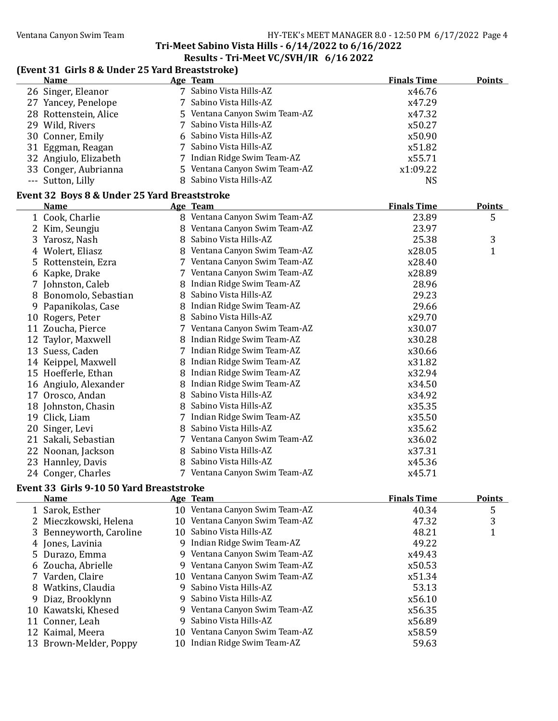# Tri-Meet Sabino Vista Hills - 6/14/2022 to 6/16/2022

# Results - Tri-Meet VC/SVH/IR 6/16 2022

### (Event 31 Girls 8 & Under 25 Yard Breaststroke)

|    | <b>Name</b>                                  |   | Age Team                      | <b>Finals Time</b> | <b>Points</b> |
|----|----------------------------------------------|---|-------------------------------|--------------------|---------------|
|    | 26 Singer, Eleanor                           |   | 7 Sabino Vista Hills-AZ       | x46.76             |               |
|    | 27 Yancey, Penelope                          |   | 7 Sabino Vista Hills-AZ       | x47.29             |               |
|    | 28 Rottenstein, Alice                        |   | 5 Ventana Canyon Swim Team-AZ | x47.32             |               |
|    | 29 Wild, Rivers                              | 7 | Sabino Vista Hills-AZ         | x50.27             |               |
|    | 30 Conner, Emily                             |   | Sabino Vista Hills-AZ         | x50.90             |               |
|    | 31 Eggman, Reagan                            | 7 | Sabino Vista Hills-AZ         | x51.82             |               |
|    | 32 Angiulo, Elizabeth                        |   | 7 Indian Ridge Swim Team-AZ   | x55.71             |               |
|    | 33 Conger, Aubrianna                         |   | 5 Ventana Canyon Swim Team-AZ | x1:09.22           |               |
|    | --- Sutton, Lilly                            |   | 8 Sabino Vista Hills-AZ       | <b>NS</b>          |               |
|    | Event 32 Boys 8 & Under 25 Yard Breaststroke |   |                               |                    |               |
|    | <b>Name</b>                                  |   | Age Team                      | <b>Finals Time</b> | <b>Points</b> |
|    | 1 Cook, Charlie                              |   | 8 Ventana Canyon Swim Team-AZ | 23.89              | 5             |
|    | 2 Kim, Seungju                               |   | 8 Ventana Canyon Swim Team-AZ | 23.97              |               |
|    | 3 Yarosz, Nash                               |   | 8 Sabino Vista Hills-AZ       | 25.38              | 3             |
|    | 4 Wolert, Eliasz                             |   | 8 Ventana Canyon Swim Team-AZ | x28.05             | 1             |
| 5. | Rottenstein, Ezra                            |   | 7 Ventana Canyon Swim Team-AZ | x28.40             |               |
|    | 6 Kapke, Drake                               |   | 7 Ventana Canyon Swim Team-AZ | x28.89             |               |
|    | 7 Johnston, Caleb                            |   | 8 Indian Ridge Swim Team-AZ   | 28.96              |               |
|    | 8 Bonomolo, Sebastian                        |   | 8 Sabino Vista Hills-AZ       | 29.23              |               |
|    | 9 Papanikolas, Case                          |   | 8 Indian Ridge Swim Team-AZ   | 29.66              |               |
|    | 10 Rogers, Peter                             |   | 8 Sabino Vista Hills-AZ       | x29.70             |               |
|    | 11 Zoucha, Pierce                            |   | 7 Ventana Canyon Swim Team-AZ | x30.07             |               |
|    | 12 Taylor, Maxwell                           |   | 8 Indian Ridge Swim Team-AZ   | x30.28             |               |
|    | 13 Suess, Caden                              |   | 7 Indian Ridge Swim Team-AZ   | x30.66             |               |
|    | 14 Keippel, Maxwell                          |   | 8 Indian Ridge Swim Team-AZ   | x31.82             |               |
|    | 15 Hoefferle, Ethan                          |   | 8 Indian Ridge Swim Team-AZ   | x32.94             |               |
|    | 16 Angiulo, Alexander                        |   | 8 Indian Ridge Swim Team-AZ   | x34.50             |               |
|    | 17 Orosco, Andan                             |   | 8 Sabino Vista Hills-AZ       | x34.92             |               |
|    | 18 Johnston, Chasin                          |   | 8 Sabino Vista Hills-AZ       | x35.35             |               |
|    | 19 Click, Liam                               |   | 7 Indian Ridge Swim Team-AZ   | x35.50             |               |
|    | 20 Singer, Levi                              |   | 8 Sabino Vista Hills-AZ       | x35.62             |               |
|    | 21 Sakali, Sebastian                         |   | 7 Ventana Canyon Swim Team-AZ | x36.02             |               |
|    | 22 Noonan, Jackson                           |   | 8 Sabino Vista Hills-AZ       | x37.31             |               |
|    | 23 Hannley, Davis                            |   | 8 Sabino Vista Hills-AZ       | x45.36             |               |
|    | 24 Conger, Charles                           |   | 7 Ventana Canyon Swim Team-AZ | x45.71             |               |

#### Event 33 Girls 9-10 50 Yard Breaststroke

| <b>Name</b>             |  | <b>Finals Time</b>                                                                                                                                                                                                                                                                                                                                                                                                              | <b>Points</b> |
|-------------------------|--|---------------------------------------------------------------------------------------------------------------------------------------------------------------------------------------------------------------------------------------------------------------------------------------------------------------------------------------------------------------------------------------------------------------------------------|---------------|
| 1 Sarok, Esther         |  | 40.34                                                                                                                                                                                                                                                                                                                                                                                                                           | 5             |
| 2 Mieczkowski, Helena   |  | 47.32                                                                                                                                                                                                                                                                                                                                                                                                                           | 3             |
| 3 Benneyworth, Caroline |  | 48.21                                                                                                                                                                                                                                                                                                                                                                                                                           |               |
| 4 Jones, Lavinia        |  | 49.22                                                                                                                                                                                                                                                                                                                                                                                                                           |               |
| 5 Durazo, Emma          |  | x49.43                                                                                                                                                                                                                                                                                                                                                                                                                          |               |
| 6 Zoucha, Abrielle      |  | x50.53                                                                                                                                                                                                                                                                                                                                                                                                                          |               |
| 7 Varden, Claire        |  | x51.34                                                                                                                                                                                                                                                                                                                                                                                                                          |               |
| 8 Watkins, Claudia      |  | 53.13                                                                                                                                                                                                                                                                                                                                                                                                                           |               |
| 9 Diaz, Brooklynn       |  | x56.10                                                                                                                                                                                                                                                                                                                                                                                                                          |               |
| 10 Kawatski, Khesed     |  | x56.35                                                                                                                                                                                                                                                                                                                                                                                                                          |               |
| 11 Conner, Leah         |  | x56.89                                                                                                                                                                                                                                                                                                                                                                                                                          |               |
| 12 Kaimal, Meera        |  | x58.59                                                                                                                                                                                                                                                                                                                                                                                                                          |               |
| 13 Brown-Melder, Poppy  |  | 59.63                                                                                                                                                                                                                                                                                                                                                                                                                           |               |
|                         |  | Age Team<br>10 Ventana Canyon Swim Team-AZ<br>10 Ventana Canyon Swim Team-AZ<br>10 Sabino Vista Hills-AZ<br>9 Indian Ridge Swim Team-AZ<br>9 Ventana Canyon Swim Team-AZ<br>9 Ventana Canyon Swim Team-AZ<br>10 Ventana Canyon Swim Team-AZ<br>9 Sabino Vista Hills-AZ<br>9 Sabino Vista Hills-AZ<br>9 Ventana Canyon Swim Team-AZ<br>9 Sabino Vista Hills-AZ<br>10 Ventana Canyon Swim Team-AZ<br>10 Indian Ridge Swim Team-AZ |               |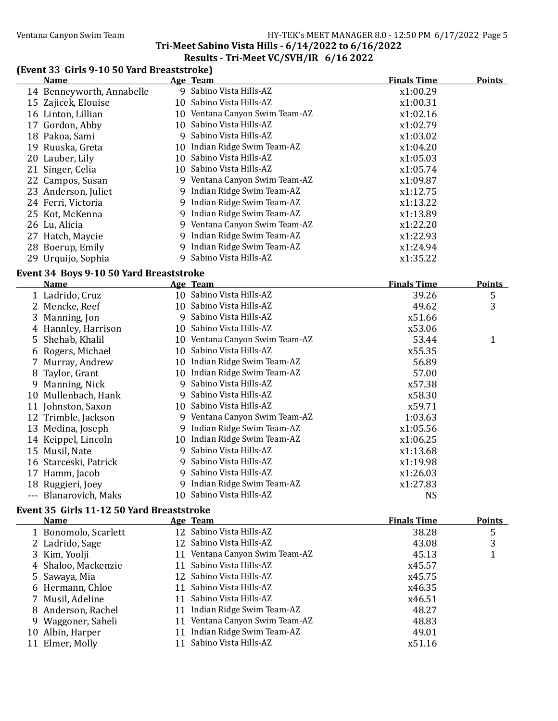### Ventana Canyon Swim Team Team HY-TEK's MEET MANAGER 8.0 - 12:50 PM 6/17/2022 Page 5

# Tri-Meet Sabino Vista Hills - 6/14/2022 to 6/16/2022

### Results - Tri-Meet VC/SVH/IR 6/16 2022

### (Event 33 Girls 9-10 50 Yard Breaststroke)

| <b>Name</b>                             | Age Team                       | <b>Finals Time</b> | <b>Points</b> |
|-----------------------------------------|--------------------------------|--------------------|---------------|
| 14 Benneyworth, Annabelle               | 9 Sabino Vista Hills-AZ        | x1:00.29           |               |
| 15 Zajicek, Elouise                     | 10 Sabino Vista Hills-AZ       | x1:00.31           |               |
| 16 Linton, Lillian                      | 10 Ventana Canyon Swim Team-AZ | x1:02.16           |               |
| 17 Gordon, Abby                         | 10 Sabino Vista Hills-AZ       | x1:02.79           |               |
| 18 Pakoa, Sami                          | 9 Sabino Vista Hills-AZ        | x1:03.02           |               |
| 19 Ruuska, Greta                        | 10 Indian Ridge Swim Team-AZ   | x1:04.20           |               |
| 20 Lauber, Lily                         | 10 Sabino Vista Hills-AZ       | x1:05.03           |               |
| 21 Singer, Celia                        | 10 Sabino Vista Hills-AZ       | x1:05.74           |               |
| 22 Campos, Susan                        | 9 Ventana Canyon Swim Team-AZ  | x1:09.87           |               |
| 23 Anderson, Juliet                     | 9 Indian Ridge Swim Team-AZ    | x1:12.75           |               |
| 24 Ferri, Victoria                      | 9 Indian Ridge Swim Team-AZ    | x1:13.22           |               |
| 25 Kot, McKenna                         | 9 Indian Ridge Swim Team-AZ    | x1:13.89           |               |
| 26 Lu, Alicia                           | 9 Ventana Canyon Swim Team-AZ  | x1:22.20           |               |
| 27 Hatch, Maycie                        | 9 Indian Ridge Swim Team-AZ    | x1:22.93           |               |
| 28 Boerup, Emily                        | 9 Indian Ridge Swim Team-AZ    | x1:24.94           |               |
| 29 Urquijo, Sophia                      | 9 Sabino Vista Hills-AZ        | x1:35.22           |               |
| Event 34 Boys 9-10 50 Yard Breaststroke |                                |                    |               |
| <b>Name</b>                             | Age Team                       | <b>Finals Time</b> | <b>Points</b> |
| 1 Ladrido, Cruz                         | 10 Sabino Vista Hills-AZ       | 39.26              | 5             |
| 2 Mencke, Reef                          | 10 Sabino Vista Hills-AZ       | 49.62              | 3             |
| 3 Manning, Jon                          | 9 Sabino Vista Hills-AZ        | x51.66             |               |
| 4 Hannley, Harrison                     | 10 Sabino Vista Hills-AZ       | x53.06             |               |
| 5 Shehab, Khalil                        | 10 Ventana Canyon Swim Team-AZ | 53.44              | $\mathbf{1}$  |
| 6 Rogers, Michael                       | 10 Sabino Vista Hills-AZ       | x55.35             |               |
| 7 Murray, Andrew                        | 10 Indian Ridge Swim Team-AZ   | 56.89              |               |
| 8 Taylor, Grant                         | 10 Indian Ridge Swim Team-AZ   | 57.00              |               |
| 9 Manning, Nick                         | 9 Sabino Vista Hills-AZ        | x57.38             |               |
| 10 Mullenbach, Hank                     | 9 Sabino Vista Hills-AZ        | x58.30             |               |
| 11 Johnston, Saxon                      | 10 Sabino Vista Hills-AZ       | x59.71             |               |
| 12 Trimble, Jackson                     | 9 Ventana Canyon Swim Team-AZ  | 1:03.63            |               |
| 13 Medina, Joseph                       | 9 Indian Ridge Swim Team-AZ    | x1:05.56           |               |
| 14 Keippel, Lincoln                     | 10 Indian Ridge Swim Team-AZ   | x1:06.25           |               |
| 15 Musil, Nate                          | 9 Sabino Vista Hills-AZ        | x1:13.68           |               |
| 16 Starceski, Patrick                   | 9 Sabino Vista Hills-AZ        | x1:19.98           |               |
| 17 Hamm, Jacob                          | 9 Sabino Vista Hills-AZ        | x1:26.03           |               |
| 18 Ruggieri, Joey                       | 9 Indian Ridge Swim Team-AZ    | x1:27.83           |               |
| --- Blanarovich, Maks                   | 10 Sabino Vista Hills-AZ       | <b>NS</b>          |               |

### Event 35 Girls 11-12 50 Yard Breaststroke

|    | <b>Name</b>          |    | Age Team                       | <b>Finals Time</b> | <b>Points</b> |
|----|----------------------|----|--------------------------------|--------------------|---------------|
|    | 1 Bonomolo, Scarlett |    | 12 Sabino Vista Hills-AZ       | 38.28              | 5             |
|    | 2 Ladrido, Sage      |    | 12 Sabino Vista Hills-AZ       | 43.08              | 3             |
|    | 3 Kim, Yoolji        |    | 11 Ventana Canyon Swim Team-AZ | 45.13              |               |
|    | 4 Shaloo, Mackenzie  |    | 11 Sabino Vista Hills-AZ       | x45.57             |               |
|    | 5 Sawaya, Mia        |    | 12 Sabino Vista Hills-AZ       | x45.75             |               |
|    | 6 Hermann, Chloe     |    | 11 Sabino Vista Hills-AZ       | x46.35             |               |
|    | 7 Musil, Adeline     |    | 11 Sabino Vista Hills-AZ       | x46.51             |               |
|    | 8 Anderson, Rachel   |    | 11 Indian Ridge Swim Team-AZ   | 48.27              |               |
|    | 9 Waggoner, Saheli   |    | 11 Ventana Canyon Swim Team-AZ | 48.83              |               |
|    | 10 Albin, Harper     | 11 | Indian Ridge Swim Team-AZ      | 49.01              |               |
| 11 | Elmer, Molly         |    | 11 Sabino Vista Hills-AZ       | x51.16             |               |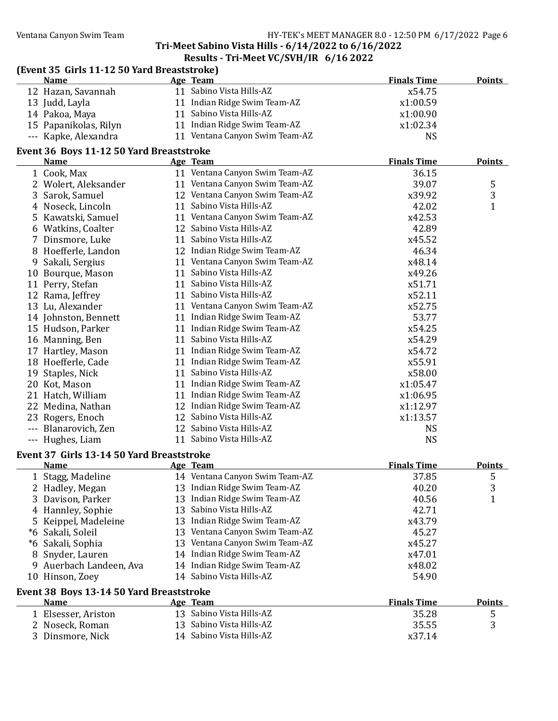#### Ventana Canyon Swim Team HY-TEK's MEET MANAGER 8.0 - 12:50 PM 6/17/2022 Page 6

### Tri-Meet Sabino Vista Hills - 6/14/2022 to 6/16/2022

#### Results - Tri-Meet VC/SVH/IR 6/16 2022

| (Event 35 Girls 11-12 50 Yard Breaststroke) | $\frac{1}{11}$ and $\frac{1}{11}$ and $\frac{1}{10}$ and $\frac{1}{10}$ and $\frac{1}{10}$ and $\frac{1}{10}$ and $\frac{1}{10}$ and $\frac{1}{10}$ and $\frac{1}{10}$ and $\frac{1}{10}$ and $\frac{1}{10}$ and $\frac{1}{10}$ and $\frac{1}{10}$ and $\frac{1}{10}$ and $\frac{1}{10}$ |                    |               |
|---------------------------------------------|------------------------------------------------------------------------------------------------------------------------------------------------------------------------------------------------------------------------------------------------------------------------------------------|--------------------|---------------|
| <b>Name</b>                                 | Age Team                                                                                                                                                                                                                                                                                 | <b>Finals Time</b> | <b>Points</b> |
| 12 Hazan, Savannah                          | 11 Sabino Vista Hills-AZ                                                                                                                                                                                                                                                                 | x54.75             |               |
| 13 Judd, Layla                              | 11 Indian Ridge Swim Team-AZ                                                                                                                                                                                                                                                             | x1:00.59           |               |
| 14 Pakoa, Maya                              | 11 Sabino Vista Hills-AZ                                                                                                                                                                                                                                                                 | x1:00.90           |               |
| 15 Papanikolas, Rilyn                       | 11 Indian Ridge Swim Team-AZ                                                                                                                                                                                                                                                             | x1:02.34           |               |
| --- Kapke, Alexandra                        | 11 Ventana Canyon Swim Team-AZ                                                                                                                                                                                                                                                           | <b>NS</b>          |               |
| Event 36 Boys 11-12 50 Yard Breaststroke    |                                                                                                                                                                                                                                                                                          |                    |               |
| <b>Name</b>                                 | Age Team                                                                                                                                                                                                                                                                                 | <b>Finals Time</b> | <b>Points</b> |
| 1 Cook, Max                                 | 11 Ventana Canyon Swim Team-AZ                                                                                                                                                                                                                                                           | 36.15              |               |
| 2 Wolert, Aleksander                        | 11 Ventana Canyon Swim Team-AZ                                                                                                                                                                                                                                                           | 39.07              | 5             |
| 3 Sarok, Samuel                             | 12 Ventana Canyon Swim Team-AZ                                                                                                                                                                                                                                                           | x39.92             | 3             |
| 4 Noseck, Lincoln                           | 11 Sabino Vista Hills-AZ                                                                                                                                                                                                                                                                 | 42.02              | $\mathbf{1}$  |
| 5 Kawatski, Samuel                          | 11 Ventana Canyon Swim Team-AZ                                                                                                                                                                                                                                                           | x42.53             |               |
| 6 Watkins, Coalter                          | 12 Sabino Vista Hills-AZ                                                                                                                                                                                                                                                                 | 42.89              |               |
| 7 Dinsmore, Luke                            | 11 Sabino Vista Hills-AZ                                                                                                                                                                                                                                                                 | x45.52             |               |
| 8 Hoefferle, Landon                         | 12 Indian Ridge Swim Team-AZ                                                                                                                                                                                                                                                             | 46.34              |               |
| 9 Sakali, Sergius                           | 11 Ventana Canyon Swim Team-AZ                                                                                                                                                                                                                                                           | x48.14             |               |
| 10 Bourque, Mason                           | 11 Sabino Vista Hills-AZ                                                                                                                                                                                                                                                                 | x49.26             |               |
| 11 Perry, Stefan                            | 11 Sabino Vista Hills-AZ                                                                                                                                                                                                                                                                 | x51.71             |               |
| 12 Rama, Jeffrey                            | 11 Sabino Vista Hills-AZ                                                                                                                                                                                                                                                                 | x52.11             |               |
| 13 Lu, Alexander                            | 11 Ventana Canyon Swim Team-AZ                                                                                                                                                                                                                                                           | x52.75             |               |
| 14 Johnston, Bennett                        | 11 Indian Ridge Swim Team-AZ                                                                                                                                                                                                                                                             | 53.77              |               |
| 15 Hudson, Parker                           | 11 Indian Ridge Swim Team-AZ                                                                                                                                                                                                                                                             | x54.25             |               |
| 16 Manning, Ben                             | 11 Sabino Vista Hills-AZ                                                                                                                                                                                                                                                                 | x54.29             |               |
| 17 Hartley, Mason                           | 11 Indian Ridge Swim Team-AZ                                                                                                                                                                                                                                                             | x54.72             |               |
| 18 Hoefferle, Cade                          | 11 Indian Ridge Swim Team-AZ                                                                                                                                                                                                                                                             | x55.91             |               |
| 19 Staples, Nick                            | 11 Sabino Vista Hills-AZ                                                                                                                                                                                                                                                                 | x58.00             |               |
| 20 Kot, Mason                               | 11 Indian Ridge Swim Team-AZ                                                                                                                                                                                                                                                             | x1:05.47           |               |
| 21 Hatch, William                           | 11 Indian Ridge Swim Team-AZ                                                                                                                                                                                                                                                             | x1:06.95           |               |
| 22 Medina, Nathan                           | 12 Indian Ridge Swim Team-AZ                                                                                                                                                                                                                                                             | x1:12.97           |               |
| 23 Rogers, Enoch                            | 12 Sabino Vista Hills-AZ                                                                                                                                                                                                                                                                 | x1:13.57           |               |
| --- Blanarovich, Zen                        | 12 Sabino Vista Hills-AZ                                                                                                                                                                                                                                                                 | <b>NS</b>          |               |
| --- Hughes, Liam                            | 11 Sabino Vista Hills-AZ                                                                                                                                                                                                                                                                 | <b>NS</b>          |               |
| $21.1.42.41$ = $27.7$                       |                                                                                                                                                                                                                                                                                          |                    |               |

#### Event 37 Girls 13-14 50 Yard Breaststroke

|                                          | <b>Name</b>             |  | Age Team                       | <b>Finals Time</b> | <b>Points</b> |
|------------------------------------------|-------------------------|--|--------------------------------|--------------------|---------------|
|                                          | 1 Stagg, Madeline       |  | 14 Ventana Canyon Swim Team-AZ | 37.85              | 5             |
|                                          | 2 Hadley, Megan         |  | 13 Indian Ridge Swim Team-AZ   | 40.20              | 3             |
|                                          | 3 Davison, Parker       |  | 13 Indian Ridge Swim Team-AZ   | 40.56              |               |
|                                          | 4 Hannley, Sophie       |  | 13 Sabino Vista Hills-AZ       | 42.71              |               |
|                                          | 5 Keippel, Madeleine    |  | 13 Indian Ridge Swim Team-AZ   | x43.79             |               |
|                                          | *6 Sakali, Soleil       |  | 13 Ventana Canyon Swim Team-AZ | 45.27              |               |
|                                          | *6 Sakali, Sophia       |  | 13 Ventana Canyon Swim Team-AZ | x45.27             |               |
|                                          | 8 Snyder, Lauren        |  | 14 Indian Ridge Swim Team-AZ   | x47.01             |               |
|                                          | 9 Auerbach Landeen, Ava |  | 14 Indian Ridge Swim Team-AZ   | x48.02             |               |
|                                          | 10 Hinson, Zoey         |  | 14 Sabino Vista Hills-AZ       | 54.90              |               |
| Event 38 Boys 13-14 50 Yard Breaststroke |                         |  |                                |                    |               |
|                                          | <b>Name</b>             |  | Age Team                       | <b>Finals Time</b> | <b>Points</b> |

| .                   |                          |        | ------- |
|---------------------|--------------------------|--------|---------|
| 1 Elsesser, Ariston | 13 Sabino Vista Hills-AZ | 35.28  |         |
| 2 Noseck, Roman     | 13 Sabino Vista Hills-AZ | 35.55  |         |
| 3 Dinsmore, Nick    | 14 Sabino Vista Hills-AZ | x37.14 |         |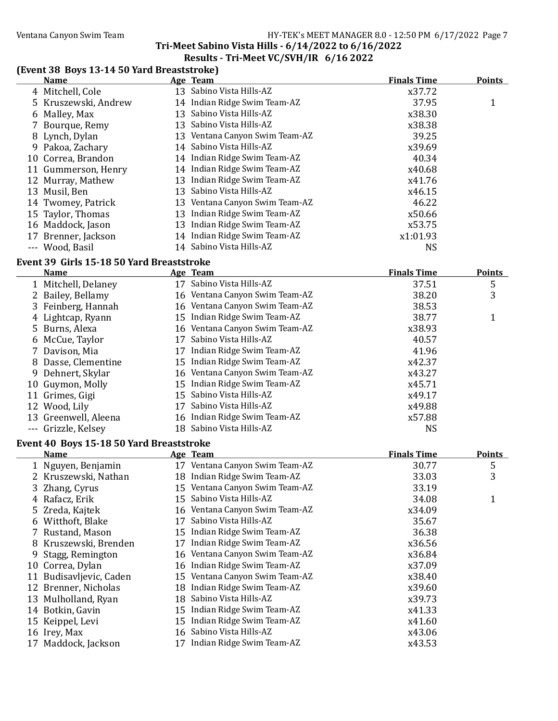### Tri-Meet Sabino Vista Hills - 6/14/2022 to 6/16/2022 Results - Tri-Meet VC/SVH/IR 6/16 2022

#### (Event 38 Boys 13-14 50 Yard Breaststroke)

|    | <b>Name</b>                               |    | Age Team                       | <b>Finals Time</b> | <b>Points</b> |
|----|-------------------------------------------|----|--------------------------------|--------------------|---------------|
|    | 4 Mitchell, Cole                          |    | 13 Sabino Vista Hills-AZ       | x37.72             |               |
|    | 5 Kruszewski, Andrew                      |    | 14 Indian Ridge Swim Team-AZ   | 37.95              | 1             |
|    | 6 Malley, Max                             | 13 | Sabino Vista Hills-AZ          | x38.30             |               |
|    | Bourque, Remy                             |    | 13 Sabino Vista Hills-AZ       | x38.38             |               |
|    | 8 Lynch, Dylan                            | 13 | Ventana Canyon Swim Team-AZ    | 39.25              |               |
| 9. | Pakoa, Zachary                            | 14 | Sabino Vista Hills-AZ          | x39.69             |               |
|    | 10 Correa, Brandon                        |    | 14 Indian Ridge Swim Team-AZ   | 40.34              |               |
|    | 11 Gummerson, Henry                       |    | 14 Indian Ridge Swim Team-AZ   | x40.68             |               |
|    | 12 Murray, Mathew                         | 13 | Indian Ridge Swim Team-AZ      | x41.76             |               |
|    | 13 Musil, Ben                             |    | 13 Sabino Vista Hills-AZ       | x46.15             |               |
|    | 14 Twomey, Patrick                        |    | 13 Ventana Canyon Swim Team-AZ | 46.22              |               |
| 15 | Taylor, Thomas                            |    | 13 Indian Ridge Swim Team-AZ   | x50.66             |               |
|    | 16 Maddock, Jason                         | 13 | Indian Ridge Swim Team-AZ      | x53.75             |               |
| 17 | Brenner, Jackson                          |    | 14 Indian Ridge Swim Team-AZ   | x1:01.93           |               |
|    | --- Wood, Basil                           |    | 14 Sabino Vista Hills-AZ       | <b>NS</b>          |               |
|    | Event 39 Girls 15-18 50 Yard Breaststroke |    |                                |                    |               |
|    | <b>Name</b>                               |    | Age Team                       | <b>Finals Time</b> | <b>Points</b> |
|    | 1 Mitchell, Delaney                       |    | 17 Sabino Vista Hills-AZ       | 37.51              | 5             |
| 2  | Bailey, Bellamy                           |    | 16 Ventana Canyon Swim Team-AZ | 38.20              | 3             |
| 3  | Feinberg, Hannah                          |    | 16 Ventana Canyon Swim Team-AZ | 38.53              |               |
|    | 4 Lightcap, Ryann                         | 15 | Indian Ridge Swim Team-AZ      | 38.77              | 1             |
| 5. | Burns, Alexa                              | 16 | Ventana Canyon Swim Team-AZ    | x38.93             |               |
|    | 6 McCue, Taylor                           | 17 | Sabino Vista Hills-AZ          | 40.57              |               |
|    | 7 Davison, Mia                            | 17 | Indian Ridge Swim Team-AZ      | 41.96              |               |
|    | 8 Dasse, Clementine                       |    | 15 Indian Ridge Swim Team-AZ   | x42.37             |               |

| 0 Dasse, Giementine  | 19 Indian Ridge Swim Team-AZ   | AT4.J/ |  |
|----------------------|--------------------------------|--------|--|
| 9 Dehnert, Skylar    | 16 Ventana Canyon Swim Team-AZ | x43.27 |  |
| 10 Guymon, Molly     | 15 Indian Ridge Swim Team-AZ   | x45.71 |  |
| 11 Grimes, Gigi      | 15 Sabino Vista Hills-AZ       | x49.17 |  |
| 12 Wood, Lily        | 17 Sabino Vista Hills-AZ       | x49.88 |  |
| 13 Greenwell, Aleena | 16 Indian Ridge Swim Team-AZ   | x57.88 |  |
| --- Grizzle, Kelsey  | 18 Sabino Vista Hills-AZ       | NS     |  |
|                      |                                |        |  |

#### Event 40 Boys 15-18 50 Yard Breaststroke

| <b>Name</b>             |    | Age Team                       | <b>Finals Time</b> | <b>Points</b> |
|-------------------------|----|--------------------------------|--------------------|---------------|
| 1 Nguyen, Benjamin      |    | 17 Ventana Canyon Swim Team-AZ | 30.77              | 5             |
| 2 Kruszewski, Nathan    |    | 18 Indian Ridge Swim Team-AZ   | 33.03              | 3             |
| 3 Zhang, Cyrus          |    | 15 Ventana Canyon Swim Team-AZ | 33.19              |               |
| 4 Rafacz, Erik          |    | 15 Sabino Vista Hills-AZ       | 34.08              | 1             |
| 5 Zreda, Kajtek         |    | 16 Ventana Canyon Swim Team-AZ | x34.09             |               |
| 6 Witthoft, Blake       | 17 | Sabino Vista Hills-AZ          | 35.67              |               |
| 7 Rustand, Mason        |    | 15 Indian Ridge Swim Team-AZ   | 36.38              |               |
| 8 Kruszewski, Brenden   | 17 | Indian Ridge Swim Team-AZ      | x36.56             |               |
| 9 Stagg, Remington      |    | 16 Ventana Canyon Swim Team-AZ | x36.84             |               |
| 10 Correa, Dylan        |    | 16 Indian Ridge Swim Team-AZ   | x37.09             |               |
| 11 Budisavljevic, Caden |    | 15 Ventana Canyon Swim Team-AZ | x38.40             |               |
| 12 Brenner, Nicholas    |    | 18 Indian Ridge Swim Team-AZ   | x39.60             |               |
| 13 Mulholland, Ryan     |    | 18 Sabino Vista Hills-AZ       | x39.73             |               |
| 14 Botkin, Gavin        |    | 15 Indian Ridge Swim Team-AZ   | x41.33             |               |
| 15 Keippel, Levi        |    | 15 Indian Ridge Swim Team-AZ   | x41.60             |               |
| 16 Irey, Max            |    | 16 Sabino Vista Hills-AZ       | x43.06             |               |
| 17 Maddock, Jackson     | 17 | Indian Ridge Swim Team-AZ      | x43.53             |               |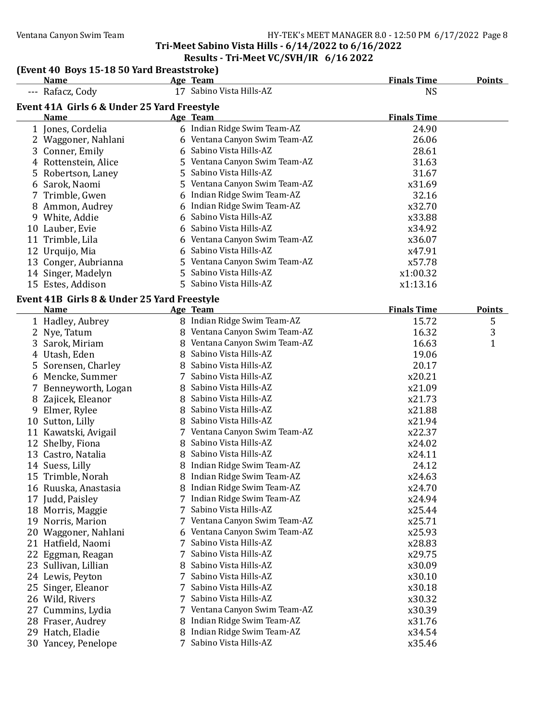#### Ventana Canyon Swim Team Team HY-TEK's MEET MANAGER 8.0 - 12:50 PM 6/17/2022 Page 8 Tri-Meet Sabino Vista Hills - 6/14/2022 to 6/16/2022

### Results - Tri-Meet VC/SVH/IR 6/16 2022

#### (Event 40 Boys 15-18 50 Yard Breaststroke)

|    | <b>Name</b>                                 |   | Age Team                      | <b>Finals Time</b> | <b>Points</b> |
|----|---------------------------------------------|---|-------------------------------|--------------------|---------------|
|    | --- Rafacz, Cody                            |   | 17 Sabino Vista Hills-AZ      | <b>NS</b>          |               |
|    | Event 41A Girls 6 & Under 25 Yard Freestyle |   |                               |                    |               |
|    | Name                                        |   | Age Team                      | <b>Finals Time</b> |               |
|    | 1 Jones, Cordelia                           |   | 6 Indian Ridge Swim Team-AZ   | 24.90              |               |
|    | 2 Waggoner, Nahlani                         |   | 6 Ventana Canyon Swim Team-AZ | 26.06              |               |
|    | 3 Conner, Emily                             | 6 | Sabino Vista Hills-AZ         | 28.61              |               |
|    | 4 Rottenstein, Alice                        |   | 5 Ventana Canyon Swim Team-AZ | 31.63              |               |
|    | 5 Robertson, Laney                          |   | 5 Sabino Vista Hills-AZ       | 31.67              |               |
|    | 6 Sarok, Naomi                              |   | 5 Ventana Canyon Swim Team-AZ | x31.69             |               |
|    | 7 Trimble, Gwen                             | 6 | Indian Ridge Swim Team-AZ     | 32.16              |               |
|    | 8 Ammon, Audrey                             | 6 | Indian Ridge Swim Team-AZ     | x32.70             |               |
|    | 9 White, Addie                              | 6 | Sabino Vista Hills-AZ         | x33.88             |               |
|    | 10 Lauber, Evie                             | 6 | Sabino Vista Hills-AZ         | x34.92             |               |
|    | 11 Trimble, Lila                            |   | 6 Ventana Canyon Swim Team-AZ | x36.07             |               |
|    | 12 Urquijo, Mia                             | 6 | Sabino Vista Hills-AZ         | x47.91             |               |
|    | 13 Conger, Aubrianna                        |   | 5 Ventana Canyon Swim Team-AZ | x57.78             |               |
|    | 14 Singer, Madelyn                          |   | 5 Sabino Vista Hills-AZ       | x1:00.32           |               |
|    | 15 Estes, Addison                           |   | 5 Sabino Vista Hills-AZ       | x1:13.16           |               |
|    | Event 41B Girls 8 & Under 25 Yard Freestyle |   |                               |                    |               |
|    | <b>Name</b>                                 |   | Age Team                      | <b>Finals Time</b> | <b>Points</b> |
|    | 1 Hadley, Aubrey                            |   | 8 Indian Ridge Swim Team-AZ   | 15.72              | 5             |
|    | 2 Nye, Tatum                                |   | 8 Ventana Canyon Swim Team-AZ | 16.32              | 3             |
|    | 3 Sarok, Miriam                             |   | 8 Ventana Canyon Swim Team-AZ | 16.63              | $\mathbf{1}$  |
|    | 4 Utash, Eden                               |   | 8 Sabino Vista Hills-AZ       | 19.06              |               |
|    | 5 Sorensen, Charley                         |   | 8 Sabino Vista Hills-AZ       | 20.17              |               |
|    | 6 Mencke, Summer                            |   | 7 Sabino Vista Hills-AZ       | x20.21             |               |
|    | 7 Benneyworth, Logan                        |   | 8 Sabino Vista Hills-AZ       | x21.09             |               |
|    | 8 Zajicek, Eleanor                          |   | 8 Sabino Vista Hills-AZ       | x21.73             |               |
|    | 9 Elmer, Rylee                              |   | 8 Sabino Vista Hills-AZ       | x21.88             |               |
|    | 10 Sutton, Lilly                            |   | 8 Sabino Vista Hills-AZ       | x21.94             |               |
|    | 11 Kawatski, Avigail                        |   | 7 Ventana Canyon Swim Team-AZ | x22.37             |               |
|    | 12 Shelby, Fiona                            |   | 8 Sabino Vista Hills-AZ       | x24.02             |               |
|    | 13 Castro, Natalia                          |   | 8 Sabino Vista Hills-AZ       | x24.11             |               |
|    | 14 Suess, Lilly                             |   | 8 Indian Ridge Swim Team-AZ   | 24.12              |               |
|    | 15 Trimble, Norah                           |   | 8 Indian Ridge Swim Team-AZ   | x24.63             |               |
|    | 16 Ruuska, Anastasia                        |   | 8 Indian Ridge Swim Team-AZ   | x24.70             |               |
|    | 17 Judd, Paisley                            |   | Indian Ridge Swim Team-AZ     | x24.94             |               |
|    | 18 Morris, Maggie                           | 7 | Sabino Vista Hills-AZ         | x25.44             |               |
|    | 19 Norris, Marion                           |   | Ventana Canyon Swim Team-AZ   | x25.71             |               |
|    | 20 Waggoner, Nahlani                        |   | Ventana Canyon Swim Team-AZ   | x25.93             |               |
|    | 21 Hatfield, Naomi                          | 7 | Sabino Vista Hills-AZ         | x28.83             |               |
|    | 22 Eggman, Reagan                           | 7 | Sabino Vista Hills-AZ         | x29.75             |               |
|    | 23 Sullivan, Lillian                        |   | Sabino Vista Hills-AZ         | x30.09             |               |
|    | 24 Lewis, Peyton                            | 7 | Sabino Vista Hills-AZ         | x30.10             |               |
| 25 | Singer, Eleanor                             | 7 | Sabino Vista Hills-AZ         | x30.18             |               |
|    | 26 Wild, Rivers                             | 7 | Sabino Vista Hills-AZ         | x30.32             |               |
| 27 | Cummins, Lydia                              |   | Ventana Canyon Swim Team-AZ   | x30.39             |               |
|    | 28 Fraser, Audrey                           |   | Indian Ridge Swim Team-AZ     | x31.76             |               |
|    | 29 Hatch, Eladie                            |   | Indian Ridge Swim Team-AZ     | x34.54             |               |
|    | 30 Yancey, Penelope                         | 7 | Sabino Vista Hills-AZ         | x35.46             |               |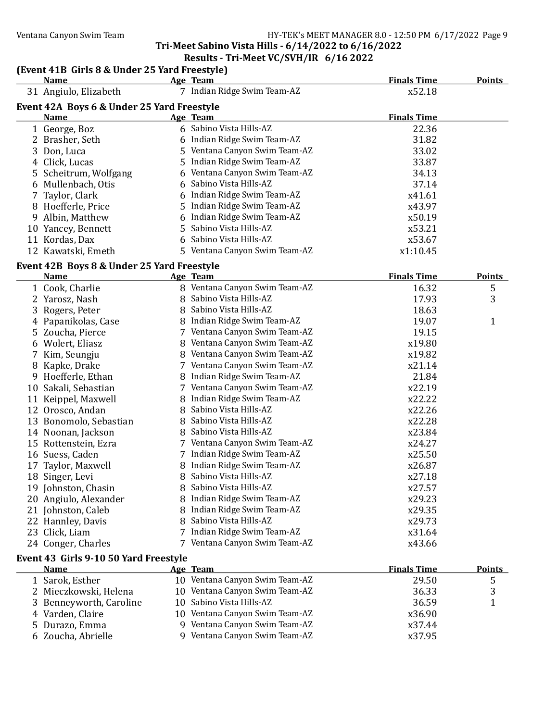### Ventana Canyon Swim Team Team Frank Canyon Swim Team Frank Canyon Swim Team Frank Canyon Swim Team Frank Canyon

### Tri-Meet Sabino Vista Hills - 6/14/2022 to 6/16/2022 Results - Tri-Meet VC/SVH/IR 6/16 2022

### (Event 41B Girls 8 & Under 25 Yard Freestyle)

| <b>Name</b>                                          |    | Age Team                       | <b>Finals Time</b> | <b>Points</b> |
|------------------------------------------------------|----|--------------------------------|--------------------|---------------|
| 31 Angiulo, Elizabeth                                |    | 7 Indian Ridge Swim Team-AZ    | x52.18             |               |
| Event 42A Boys 6 & Under 25 Yard Freestyle           |    |                                |                    |               |
| <b>Name</b>                                          |    | Age Team                       | <b>Finals Time</b> |               |
| 1 George, Boz                                        |    | 6 Sabino Vista Hills-AZ        | 22.36              |               |
| 2 Brasher, Seth                                      |    | 6 Indian Ridge Swim Team-AZ    | 31.82              |               |
| 3 Don, Luca                                          |    | 5 Ventana Canyon Swim Team-AZ  | 33.02              |               |
| 4 Click, Lucas                                       | 5  | Indian Ridge Swim Team-AZ      | 33.87              |               |
| 5 Scheitrum, Wolfgang                                | 6  | Ventana Canyon Swim Team-AZ    | 34.13              |               |
| 6 Mullenbach, Otis                                   | 6  | Sabino Vista Hills-AZ          | 37.14              |               |
| 7 Taylor, Clark                                      | 6  | Indian Ridge Swim Team-AZ      | x41.61             |               |
| 8 Hoefferle, Price                                   | 5  | Indian Ridge Swim Team-AZ      | x43.97             |               |
| 9 Albin, Matthew                                     | 6  | Indian Ridge Swim Team-AZ      | x50.19             |               |
| 10 Yancey, Bennett                                   | 5  | Sabino Vista Hills-AZ          | x53.21             |               |
| 11 Kordas, Dax                                       | 6  | Sabino Vista Hills-AZ          | x53.67             |               |
| 12 Kawatski, Emeth                                   | 5. | Ventana Canyon Swim Team-AZ    | x1:10.45           |               |
| Event 42B Boys 8 & Under 25 Yard Freestyle           |    |                                |                    |               |
| <b>Name</b>                                          |    | Age Team                       | <b>Finals Time</b> | <b>Points</b> |
| 1 Cook, Charlie                                      |    | 8 Ventana Canyon Swim Team-AZ  | 16.32              | 5             |
| 2 Yarosz, Nash                                       |    | 8 Sabino Vista Hills-AZ        | 17.93              | 3             |
| 3 Rogers, Peter                                      |    | 8 Sabino Vista Hills-AZ        | 18.63              |               |
| 4 Papanikolas, Case                                  |    | 8 Indian Ridge Swim Team-AZ    | 19.07              | $\mathbf{1}$  |
| 5 Zoucha, Pierce                                     |    | 7 Ventana Canyon Swim Team-AZ  | 19.15              |               |
| 6 Wolert, Eliasz                                     |    | 8 Ventana Canyon Swim Team-AZ  | x19.80             |               |
| 7 Kim, Seungju                                       |    | 8 Ventana Canyon Swim Team-AZ  | x19.82             |               |
| 8 Kapke, Drake                                       |    | 7 Ventana Canyon Swim Team-AZ  | x21.14             |               |
| 9 Hoefferle, Ethan                                   |    | 8 Indian Ridge Swim Team-AZ    | 21.84              |               |
| 10 Sakali, Sebastian                                 |    | 7 Ventana Canyon Swim Team-AZ  | x22.19             |               |
| 11 Keippel, Maxwell                                  |    | 8 Indian Ridge Swim Team-AZ    | x22.22             |               |
| 12 Orosco, Andan                                     |    | 8 Sabino Vista Hills-AZ        | x22.26             |               |
| 13 Bonomolo, Sebastian                               |    | 8 Sabino Vista Hills-AZ        | x22.28             |               |
| 14 Noonan, Jackson                                   |    | 8 Sabino Vista Hills-AZ        | x23.84             |               |
| 15 Rottenstein, Ezra                                 |    | 7 Ventana Canyon Swim Team-AZ  | x24.27             |               |
| 16 Suess, Caden                                      |    | 7 Indian Ridge Swim Team-AZ    | x25.50             |               |
| Taylor, Maxwell<br>17                                |    | 8 Indian Ridge Swim Team-AZ    | x26.87             |               |
| 18 Singer, Levi                                      |    | 8 Sabino Vista Hills-AZ        | x27.18             |               |
| 19 Johnston, Chasin                                  | 8. | Sabino Vista Hills-AZ          | x27.57             |               |
| 20 Angiulo, Alexander                                | 8  | Indian Ridge Swim Team-AZ      | x29.23             |               |
| 21 Johnston, Caleb                                   | 8  | Indian Ridge Swim Team-AZ      | x29.35             |               |
| 22 Hannley, Davis                                    | 8  | Sabino Vista Hills-AZ          | x29.73             |               |
| 23 Click, Liam                                       | 7  | Indian Ridge Swim Team-AZ      | x31.64             |               |
| 24 Conger, Charles                                   |    | 7 Ventana Canyon Swim Team-AZ  | x43.66             |               |
|                                                      |    |                                |                    |               |
| Event 43 Girls 9-10 50 Yard Freestyle<br><b>Name</b> |    | Age Team                       | <b>Finals Time</b> | <b>Points</b> |
| 1 Sarok, Esther                                      |    | 10 Ventana Canyon Swim Team-AZ | 29.50              | 5             |
| 2 Mieczkowski, Helena                                |    | 10 Ventana Canyon Swim Team-AZ | 36.33              | 3             |
| 3 Benneyworth, Caroline                              | 10 | Sabino Vista Hills-AZ          | 36.59              | $\mathbf{1}$  |
| 4 Varden, Claire                                     |    | 10 Ventana Canyon Swim Team-AZ | x36.90             |               |
| 5 Durazo, Emma                                       |    | 9 Ventana Canyon Swim Team-AZ  | x37.44             |               |
| 6 Zoucha, Abrielle                                   |    | 9 Ventana Canyon Swim Team-AZ  | x37.95             |               |
|                                                      |    |                                |                    |               |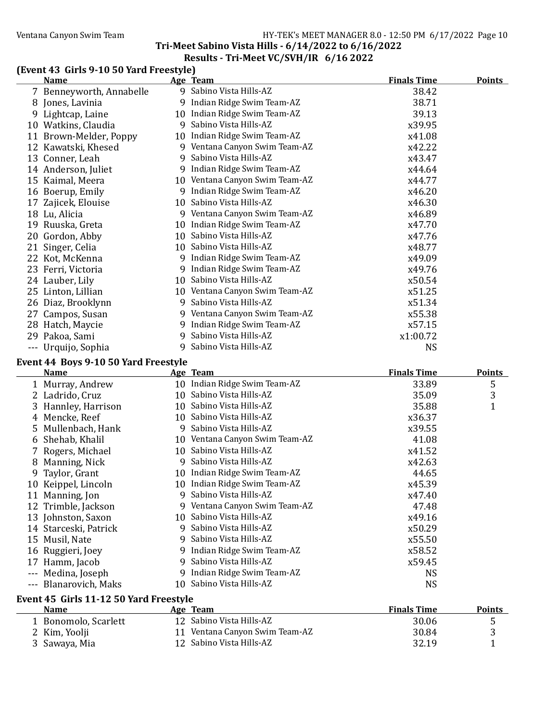### Ventana Canyon Swim Team Team Franch Canyon Swim Team Franch Canyon Swim Team Franch Canyon Swim Team Franch C

## Tri-Meet Sabino Vista Hills - 6/14/2022 to 6/16/2022

### Results - Tri-Meet VC/SVH/IR 6/16 2022

### (Event 43 Girls 9-10 50 Yard Freestyle)

|          | <b>Name</b>                            |   | Age Team                                                   | <b>Finals Time</b> | <b>Points</b>     |
|----------|----------------------------------------|---|------------------------------------------------------------|--------------------|-------------------|
|          | 7 Benneyworth, Annabelle               |   | 9 Sabino Vista Hills-AZ                                    | 38.42              |                   |
|          | 8 Jones, Lavinia                       |   | 9 Indian Ridge Swim Team-AZ                                | 38.71              |                   |
|          | 9 Lightcap, Laine                      |   | 10 Indian Ridge Swim Team-AZ                               | 39.13              |                   |
|          | 10 Watkins, Claudia                    |   | 9 Sabino Vista Hills-AZ                                    | x39.95             |                   |
|          | 11 Brown-Melder, Poppy                 |   | 10 Indian Ridge Swim Team-AZ                               | x41.08             |                   |
|          | 12 Kawatski, Khesed                    |   | 9 Ventana Canyon Swim Team-AZ                              | x42.22             |                   |
|          | 13 Conner, Leah                        |   | 9 Sabino Vista Hills-AZ                                    | x43.47             |                   |
|          | 14 Anderson, Juliet                    |   | 9 Indian Ridge Swim Team-AZ                                | x44.64             |                   |
|          | 15 Kaimal, Meera                       |   | 10 Ventana Canyon Swim Team-AZ                             | x44.77             |                   |
|          | 16 Boerup, Emily                       |   | 9 Indian Ridge Swim Team-AZ                                | x46.20             |                   |
|          | 17 Zajicek, Elouise                    |   | 10 Sabino Vista Hills-AZ                                   | x46.30             |                   |
|          | 18 Lu, Alicia                          |   | 9 Ventana Canyon Swim Team-AZ                              | x46.89             |                   |
|          | 19 Ruuska, Greta                       |   | 10 Indian Ridge Swim Team-AZ                               | x47.70             |                   |
|          | 20 Gordon, Abby                        |   | 10 Sabino Vista Hills-AZ                                   | x47.76             |                   |
|          | 21 Singer, Celia                       |   | 10 Sabino Vista Hills-AZ                                   | x48.77             |                   |
|          | 22 Kot, McKenna                        |   | 9 Indian Ridge Swim Team-AZ                                | x49.09             |                   |
|          | 23 Ferri, Victoria                     |   | 9 Indian Ridge Swim Team-AZ                                | x49.76             |                   |
|          | 24 Lauber, Lily                        |   | 10 Sabino Vista Hills-AZ                                   | x50.54             |                   |
|          | 25 Linton, Lillian                     |   | 10 Ventana Canyon Swim Team-AZ                             | x51.25             |                   |
|          | 26 Diaz, Brooklynn                     |   | 9 Sabino Vista Hills-AZ                                    | x51.34             |                   |
|          | 27 Campos, Susan                       |   | 9 Ventana Canyon Swim Team-AZ                              | x55.38             |                   |
|          | 28 Hatch, Maycie                       |   | 9 Indian Ridge Swim Team-AZ                                | x57.15             |                   |
|          | 29 Pakoa, Sami                         | 9 | Sabino Vista Hills-AZ                                      | x1:00.72           |                   |
|          | --- Urquijo, Sophia                    |   | 9 Sabino Vista Hills-AZ                                    | <b>NS</b>          |                   |
|          |                                        |   |                                                            |                    |                   |
|          | Event 44 Boys 9-10 50 Yard Freestyle   |   |                                                            |                    |                   |
|          |                                        |   |                                                            |                    |                   |
|          | Name                                   |   | Age Team                                                   | <b>Finals Time</b> | <b>Points</b>     |
|          | 1 Murray, Andrew                       |   | 10 Indian Ridge Swim Team-AZ                               | 33.89              | 5                 |
|          | 2 Ladrido, Cruz                        |   | 10 Sabino Vista Hills-AZ                                   | 35.09              | 3                 |
|          | 3 Hannley, Harrison                    |   | 10 Sabino Vista Hills-AZ                                   | 35.88              | 1                 |
|          | 4 Mencke, Reef                         |   | 10 Sabino Vista Hills-AZ                                   | x36.37             |                   |
|          | 5 Mullenbach, Hank                     |   | 9 Sabino Vista Hills-AZ                                    | x39.55             |                   |
|          | 6 Shehab, Khalil                       |   | 10 Ventana Canyon Swim Team-AZ                             | 41.08              |                   |
|          | 7 Rogers, Michael                      |   | 10 Sabino Vista Hills-AZ                                   | x41.52             |                   |
|          | 8 Manning, Nick                        |   | 9 Sabino Vista Hills-AZ                                    | x42.63             |                   |
|          | 9 Taylor, Grant                        |   | 10 Indian Ridge Swim Team-AZ                               | 44.65              |                   |
|          | 10 Keippel, Lincoln                    |   | 10 Indian Ridge Swim Team-AZ                               | x45.39             |                   |
|          | 11 Manning, Jon                        |   | 9 Sabino Vista Hills-AZ                                    | x47.40             |                   |
|          | 12 Trimble, Jackson                    |   | 9 Ventana Canyon Swim Team-AZ                              | 47.48              |                   |
|          | 13 Johnston, Saxon                     |   | 10 Sabino Vista Hills-AZ                                   | x49.16             |                   |
|          | 14 Starceski, Patrick                  |   | 9 Sabino Vista Hills-AZ                                    | x50.29             |                   |
|          | 15 Musil, Nate                         | 9 | Sabino Vista Hills-AZ                                      | x55.50             |                   |
|          | 16 Ruggieri, Joey                      |   | 9 Indian Ridge Swim Team-AZ                                | x58.52             |                   |
|          | 17 Hamm, Jacob                         | 9 | Sabino Vista Hills-AZ                                      | x59.45             |                   |
|          | --- Medina, Joseph                     |   | 9 Indian Ridge Swim Team-AZ                                | <b>NS</b>          |                   |
| $\cdots$ | Blanarovich, Maks                      |   | 10 Sabino Vista Hills-AZ                                   | <b>NS</b>          |                   |
|          |                                        |   |                                                            |                    |                   |
|          | Event 45 Girls 11-12 50 Yard Freestyle |   |                                                            |                    |                   |
|          | <b>Name</b>                            |   | Age Team                                                   | <b>Finals Time</b> | <b>Points</b>     |
|          | 1 Bonomolo, Scarlett                   |   | 12 Sabino Vista Hills-AZ                                   | 30.06              | 5                 |
|          | 2 Kim, Yoolji<br>3 Sawaya, Mia         |   | 11 Ventana Canyon Swim Team-AZ<br>12 Sabino Vista Hills-AZ | 30.84<br>32.19     | 3<br>$\mathbf{1}$ |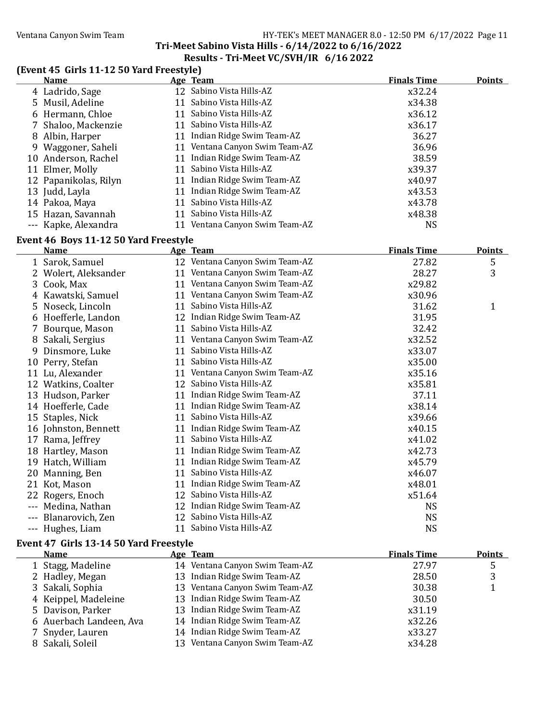#### Ventana Canyon Swim Team Team HY-TEK's MEET MANAGER 8.0 - 12:50 PM 6/17/2022 Page 11 Tri-Meet Sabino Vista Hills - 6/14/2022 to 6/16/2022

### Results - Tri-Meet VC/SVH/IR 6/16 2022

### (Event 45 Girls 11-12 50 Yard Freestyle)

| <b>Name</b>                                                                      | Age Team                       | <b>Finals Time</b> | <b>Points</b> |
|----------------------------------------------------------------------------------|--------------------------------|--------------------|---------------|
| 4 Ladrido, Sage                                                                  | 12 Sabino Vista Hills-AZ       | x32.24             |               |
| 5 Musil, Adeline                                                                 | 11 Sabino Vista Hills-AZ       | x34.38             |               |
| 6 Hermann, Chloe                                                                 | 11 Sabino Vista Hills-AZ       | x36.12             |               |
| 7 Shaloo, Mackenzie                                                              | 11 Sabino Vista Hills-AZ       | x36.17             |               |
| 8 Albin, Harper                                                                  | 11 Indian Ridge Swim Team-AZ   | 36.27              |               |
| 9 Waggoner, Saheli                                                               | 11 Ventana Canyon Swim Team-AZ | 36.96              |               |
| 10 Anderson, Rachel                                                              | 11 Indian Ridge Swim Team-AZ   | 38.59              |               |
| 11 Elmer, Molly                                                                  | 11 Sabino Vista Hills-AZ       | x39.37             |               |
| 12 Papanikolas, Rilyn                                                            | 11 Indian Ridge Swim Team-AZ   | x40.97             |               |
| 13 Judd, Layla                                                                   | 11 Indian Ridge Swim Team-AZ   | x43.53             |               |
| 14 Pakoa, Maya                                                                   | 11 Sabino Vista Hills-AZ       | x43.78             |               |
| 15 Hazan, Savannah                                                               | 11 Sabino Vista Hills-AZ       | x48.38             |               |
| --- Kapke, Alexandra                                                             | 11 Ventana Canyon Swim Team-AZ | <b>NS</b>          |               |
| Event 46 Boys 11-12 50 Yard Freestyle                                            |                                |                    |               |
| <b>Name</b>                                                                      | Age Team                       | <b>Finals Time</b> | <b>Points</b> |
| 1 Sarok, Samuel                                                                  | 12 Ventana Canyon Swim Team-AZ | 27.82              | 5             |
| 2 Wolert, Aleksander                                                             | 11 Ventana Canyon Swim Team-AZ | 28.27              | 3             |
| 3 Cook, Max                                                                      | 11 Ventana Canyon Swim Team-AZ | x29.82             |               |
| 4 Kawatski, Samuel                                                               | 11 Ventana Canyon Swim Team-AZ | x30.96             |               |
| 5 Noseck, Lincoln                                                                | 11 Sabino Vista Hills-AZ       | 31.62              | $\mathbf{1}$  |
| 6 Hoefferle, Landon                                                              | 12 Indian Ridge Swim Team-AZ   | 31.95              |               |
| 7 Bourque, Mason                                                                 | 11 Sabino Vista Hills-AZ       | 32.42              |               |
| 8 Sakali, Sergius                                                                | 11 Ventana Canyon Swim Team-AZ | x32.52             |               |
| 9 Dinsmore, Luke                                                                 | 11 Sabino Vista Hills-AZ       | x33.07             |               |
| 10 Perry, Stefan                                                                 | 11 Sabino Vista Hills-AZ       | x35.00             |               |
| 11 Lu, Alexander                                                                 | 11 Ventana Canyon Swim Team-AZ | x35.16             |               |
| 12 Watkins, Coalter                                                              | 12 Sabino Vista Hills-AZ       | x35.81             |               |
| 13 Hudson, Parker                                                                | 11 Indian Ridge Swim Team-AZ   | 37.11              |               |
| 14 Hoefferle, Cade                                                               | 11 Indian Ridge Swim Team-AZ   | x38.14             |               |
| 15 Staples, Nick                                                                 | 11 Sabino Vista Hills-AZ       | x39.66             |               |
| 16 Johnston, Bennett                                                             | 11 Indian Ridge Swim Team-AZ   | x40.15             |               |
| 17 Rama, Jeffrey                                                                 | 11 Sabino Vista Hills-AZ       | x41.02             |               |
| 18 Hartley, Mason                                                                | 11 Indian Ridge Swim Team-AZ   | x42.73             |               |
| 19 Hatch, William                                                                | 11 Indian Ridge Swim Team-AZ   | x45.79             |               |
| 20 Manning, Ben                                                                  | 11 Sabino Vista Hills-AZ       | x46.07             |               |
| 21 Kot, Mason                                                                    | 11 Indian Ridge Swim Team-AZ   | x48.01             |               |
| 22 Rogers, Enoch                                                                 | 12 Sabino Vista Hills-AZ       | x51.64             |               |
| --- Medina, Nathan                                                               | 12 Indian Ridge Swim Team-AZ   | <b>NS</b>          |               |
| --- Blanarovich, Zen                                                             | 12 Sabino Vista Hills-AZ       | <b>NS</b>          |               |
| --- Hughes, Liam                                                                 | 11 Sabino Vista Hills-AZ       | <b>NS</b>          |               |
| $-1.47$ $C^{-1}$ $-4.2$ $4.4$ $F0$ $V_{\text{ext}}$ $F_{\text{ext}}$ $-1$ $-1.1$ |                                |                    |               |

#### Event 47 Girls 13-14 50 Yard Freestyle

| <b>Name</b>             | Age Team                       | <b>Finals Time</b> | <b>Points</b> |
|-------------------------|--------------------------------|--------------------|---------------|
| 1 Stagg, Madeline       | 14 Ventana Canyon Swim Team-AZ | 27.97              | כ             |
| 2 Hadley, Megan         | 13 Indian Ridge Swim Team-AZ   | 28.50              | 3             |
| 3 Sakali, Sophia        | 13 Ventana Canyon Swim Team-AZ | 30.38              |               |
| 4 Keippel, Madeleine    | 13 Indian Ridge Swim Team-AZ   | 30.50              |               |
| 5 Davison, Parker       | 13 Indian Ridge Swim Team-AZ   | x31.19             |               |
| 6 Auerbach Landeen, Ava | 14 Indian Ridge Swim Team-AZ   | x32.26             |               |
| 7 Snyder, Lauren        | 14 Indian Ridge Swim Team-AZ   | x33.27             |               |
| 8 Sakali, Soleil        | 13 Ventana Canyon Swim Team-AZ | x34.28             |               |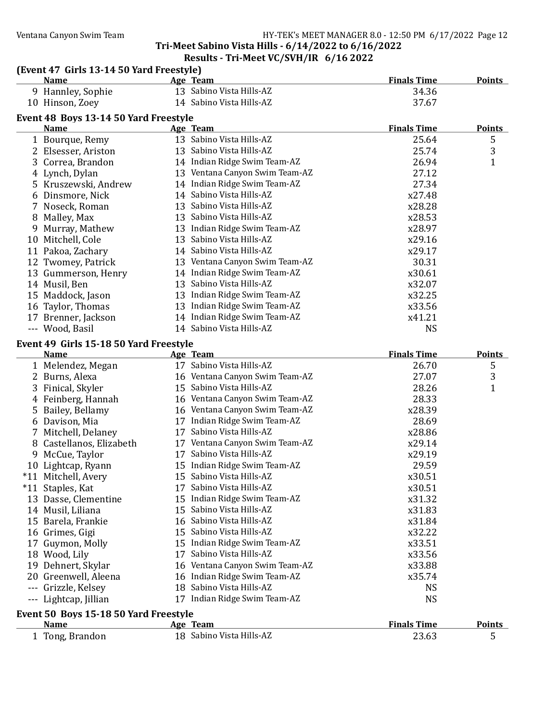#### Ventana Canyon Swim Team Team Team Fermic Controller MANAGER 8.0 - 12:50 PM 6/17/2022 Page 12 Tri-Meet Sabino Vista Hills - 6/14/2022 to 6/16/2022

#### Results - Tri-Meet VC/SVH/IR 6/16 2022 (Event 47 Girls 13-14 50 Yard Freestyle) Name **Age Team** Age Team **Finals Time** Points 9 Hannley, Sophie 13 Sabino Vista Hills-AZ 34.36 10 Hinson, Zoey 14 Sabino Vista Hills-AZ 37.67 Event 48 Boys 13-14 50 Yard Freestyle Name **Age Team** Age Team **Finals Time** Points Points 1 Bourque, Remy 13 Sabino Vista Hills-AZ 25.64 5 2 Elsesser, Ariston 13 Sabino Vista Hills-AZ 25.74 3 3 Correa, Brandon 14 Indian Ridge Swim Team-AZ 26.94 1 4 Lynch, Dylan 13 Ventana Canyon Swim Team-AZ 27.12 5 Kruszewski, Andrew 14 Indian Ridge Swim Team-AZ 27.34 6 Dinsmore, Nick 14 Sabino Vista Hills-AZ x27.48 7 Noseck, Roman 13 Sabino Vista Hills-AZ x28.28 8 Malley, Max 13 Sabino Vista Hills-AZ x28.53 9 Murray, Mathew 13 Indian Ridge Swim Team-AZ x28.97 10 Mitchell, Cole 13 Sabino Vista Hills-AZ  $x29.16$ 11 Pakoa, Zachary 14 Sabino Vista Hills-AZ x29.17 12 Twomey, Patrick 13 Ventana Canyon Swim Team-AZ 30.31 13 Gummerson, Henry 14 Indian Ridge Swim Team-AZ x30.61 14 Musil, Ben 13 Sabino Vista Hills-AZ x32.07 15 Maddock, Jason 13 Indian Ridge Swim Team-AZ x32.25 16 Taylor, Thomas 13 Indian Ridge Swim Team-AZ x33.56 17 Brenner, Jackson 14 Indian Ridge Swim Team-AZ x41.21 --- Wood, Basil 14 Sabino Vista Hills-AZ NS Event 49 Girls 15-18 50 Yard Freestyle Name **Age Team** Age Team **Finals Time** Points Points 1 Melendez, Megan 17 Sabino Vista Hills-AZ 26.70 5 2 Burns, Alexa 16 Ventana Canyon Swim Team-AZ 27.07 3 3 Finical, Skyler 15 Sabino Vista Hills-AZ 28.26 1 4 Feinberg, Hannah 16 Ventana Canyon Swim Team-AZ 28.33 5 Bailey, Bellamy 16 Ventana Canyon Swim Team-AZ x28.39 6 Davison, Mia 17 Indian Ridge Swim Team-AZ 28.69 7 Mitchell, Delaney 17 Sabino Vista Hills-AZ x28.86 8 Castellanos, Elizabeth 17 Ventana Canyon Swim Team-AZ  $x29.14$ 9 McCue, Taylor 17 Sabino Vista Hills-AZ  $x29.19$ 10 Lightcap, Ryann 15 Indian Ridge Swim Team-AZ 29.59 \*11 Mitchell, Avery 15 Sabino Vista Hills-AZ x30.51 \*11 Staples, Kat 17 Sabino Vista Hills-AZ x30.51 13 Dasse, Clementine 15 Indian Ridge Swim Team-AZ x31.32 14 Musil, Liliana 15 Sabino Vista Hills-AZ x31.83 15 Barela, Frankie 16 Sabino Vista Hills-AZ x31.84 16 Grimes, Gigi 15 Sabino Vista Hills-AZ x32.22 17 Guymon, Molly 15 Indian Ridge Swim Team-AZ x33.51 18 Wood, Lily 17 Sabino Vista Hills-AZ x33.56 19 Dehnert, Skylar 16 Ventana Canyon Swim Team-AZ x33.88 20 Greenwell, Aleena 16 Indian Ridge Swim Team-AZ x35.74 --- Grizzle, Kelsey 18 Sabino Vista Hills-AZ NS --- Lightcap, Jillian 17 Indian Ridge Swim Team-AZ NS

#### Event 50 Boys 15-18 50 Yard Freestyle

| Name          | Team<br>Age              | <b>Finals Time</b> | <b>Points</b> |
|---------------|--------------------------|--------------------|---------------|
| Tong, Brandon | 18 Sabino Vista Hills-AZ | 23.63              |               |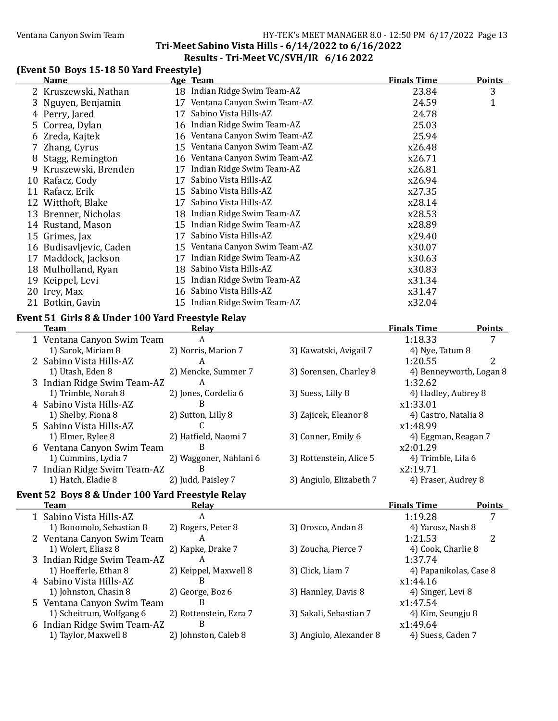### Ventana Canyon Swim Team Team HY-TEK's MEET MANAGER 8.0 - 12:50 PM 6/17/2022 Page 13

### Tri-Meet Sabino Vista Hills - 6/14/2022 to 6/16/2022 Results - Tri-Meet VC/SVH/IR 6/16 2022

### (Event 50 Boys 15-18 50 Yard Freestyle)

|    | <b>Name</b>                                       |     | <b>Age Team</b>                | <b>Finals Time</b> | <b>Points</b> |
|----|---------------------------------------------------|-----|--------------------------------|--------------------|---------------|
|    | 2 Kruszewski, Nathan                              |     | 18 Indian Ridge Swim Team-AZ   | 23.84              | 3             |
|    | 3 Nguyen, Benjamin                                | 17  | Ventana Canyon Swim Team-AZ    | 24.59              | $\mathbf{1}$  |
|    | 4 Perry, Jared                                    | 17  | Sabino Vista Hills-AZ          | 24.78              |               |
|    | 5 Correa, Dylan                                   |     | 16 Indian Ridge Swim Team-AZ   | 25.03              |               |
|    | 6 Zreda, Kajtek                                   | 16  | Ventana Canyon Swim Team-AZ    | 25.94              |               |
|    | 7 Zhang, Cyrus                                    |     | 15 Ventana Canyon Swim Team-AZ | x26.48             |               |
| 8  | Stagg, Remington                                  | 16  | Ventana Canyon Swim Team-AZ    | x26.71             |               |
| 9  | Kruszewski, Brenden                               | 17  | Indian Ridge Swim Team-AZ      | x26.81             |               |
| 10 | Rafacz, Cody                                      | 17  | Sabino Vista Hills-AZ          | x26.94             |               |
|    | 11 Rafacz, Erik                                   | 15. | Sabino Vista Hills-AZ          | x27.35             |               |
|    | 12 Witthoft, Blake                                | 17  | Sabino Vista Hills-AZ          | x28.14             |               |
| 13 | Brenner, Nicholas                                 | 18. | Indian Ridge Swim Team-AZ      | x28.53             |               |
|    | 14 Rustand, Mason                                 | 15  | Indian Ridge Swim Team-AZ      | x28.89             |               |
|    | 15 Grimes, Jax                                    | 17  | Sabino Vista Hills-AZ          | x29.40             |               |
|    | 16 Budisavljevic, Caden                           |     | 15 Ventana Canyon Swim Team-AZ | x30.07             |               |
|    | 17 Maddock, Jackson                               | 17  | Indian Ridge Swim Team-AZ      | x30.63             |               |
| 18 | Mulholland, Ryan                                  | 18  | Sabino Vista Hills-AZ          | x30.83             |               |
| 19 | Keippel, Levi                                     |     | 15 Indian Ridge Swim Team-AZ   | x31.34             |               |
|    | 20 Irey, Max                                      | 16  | Sabino Vista Hills-AZ          | x31.47             |               |
|    | 21 Botkin, Gavin                                  | 15  | Indian Ridge Swim Team-AZ      | x32.04             |               |
|    | Event 51 Girls 8 & Under 100 Yard Freestyle Relay |     |                                |                    |               |
|    | Team                                              |     | <u>Relay</u>                   | <b>Finals Time</b> | <b>Points</b> |

| теаш                        | neidy                  |                         | гшаіэ і ше              | <b>FULLLS</b> |
|-----------------------------|------------------------|-------------------------|-------------------------|---------------|
| 1 Ventana Canyon Swim Team  | A                      |                         | 1:18.33                 |               |
| 1) Sarok, Miriam 8          | 2) Norris, Marion 7    | 3) Kawatski, Avigail 7  | 4) Nye, Tatum 8         |               |
| 2 Sabino Vista Hills-AZ     | A                      |                         | 1:20.55                 | າ             |
| 1) Utash, Eden 8            | 2) Mencke, Summer 7    | 3) Sorensen, Charley 8  | 4) Benneyworth, Logan 8 |               |
| 3 Indian Ridge Swim Team-AZ | A                      |                         | 1:32.62                 |               |
| 1) Trimble, Norah 8         | 2) Jones, Cordelia 6   | 3) Suess, Lilly 8       | 4) Hadley, Aubrey 8     |               |
| 4 Sabino Vista Hills-AZ     | В                      |                         | x1:33.01                |               |
| 1) Shelby, Fiona 8          | 2) Sutton, Lilly 8     | 3) Zajicek, Eleanor 8   | 4) Castro, Natalia 8    |               |
| 5 Sabino Vista Hills-AZ     |                        |                         | x1:48.99                |               |
| 1) Elmer, Rylee 8           | 2) Hatfield, Naomi 7   | 3) Conner, Emily 6      | 4) Eggman, Reagan 7     |               |
| 6 Ventana Canyon Swim Team  | B                      |                         | x2:01.29                |               |
| 1) Cummins, Lydia 7         | 2) Waggoner, Nahlani 6 | 3) Rottenstein, Alice 5 | 4) Trimble, Lila 6      |               |
| 7 Indian Ridge Swim Team-AZ | B                      |                         | x2:19.71                |               |
| 1) Hatch, Eladie 8          | 2) Judd, Paisley 7     | 3) Angiulo, Elizabeth 7 | 4) Fraser, Audrey 8     |               |
|                             |                        |                         |                         |               |

### Event 52 Boys 8 & Under 100 Yard Freestyle Relay

 $\overline{\phantom{0}}$ 

| <b>Team</b>                 | Relay                  |                         | <b>Finals Time</b>     | <b>Points</b> |
|-----------------------------|------------------------|-------------------------|------------------------|---------------|
| 1 Sabino Vista Hills-AZ     | А                      |                         | 1:19.28                |               |
| 1) Bonomolo, Sebastian 8    | 2) Rogers, Peter 8     | 3) Orosco, Andan 8      | 4) Yarosz, Nash 8      |               |
| 2 Ventana Canyon Swim Team  | A                      |                         | 1:21.53                | 2             |
| 1) Wolert, Eliasz 8         | 2) Kapke, Drake 7      | 3) Zoucha, Pierce 7     | 4) Cook, Charlie 8     |               |
| 3 Indian Ridge Swim Team-AZ |                        |                         | 1:37.74                |               |
| 1) Hoefferle, Ethan 8       | 2) Keippel, Maxwell 8  | 3) Click, Liam 7        | 4) Papanikolas, Case 8 |               |
| 4 Sabino Vista Hills-AZ     | В                      |                         | x1:44.16               |               |
| 1) Johnston, Chasin 8       | 2) George, Boz 6       | 3) Hannley, Davis 8     | 4) Singer, Levi 8      |               |
| 5 Ventana Canyon Swim Team  | В                      |                         | x1:47.54               |               |
| 1) Scheitrum, Wolfgang 6    | 2) Rottenstein, Ezra 7 | 3) Sakali, Sebastian 7  | 4) Kim, Seungju 8      |               |
| 6 Indian Ridge Swim Team-AZ | В                      |                         | x1:49.64               |               |
| 1) Taylor, Maxwell 8        | 2) Johnston, Caleb 8   | 3) Angiulo, Alexander 8 | 4) Suess, Caden 7      |               |
|                             |                        |                         |                        |               |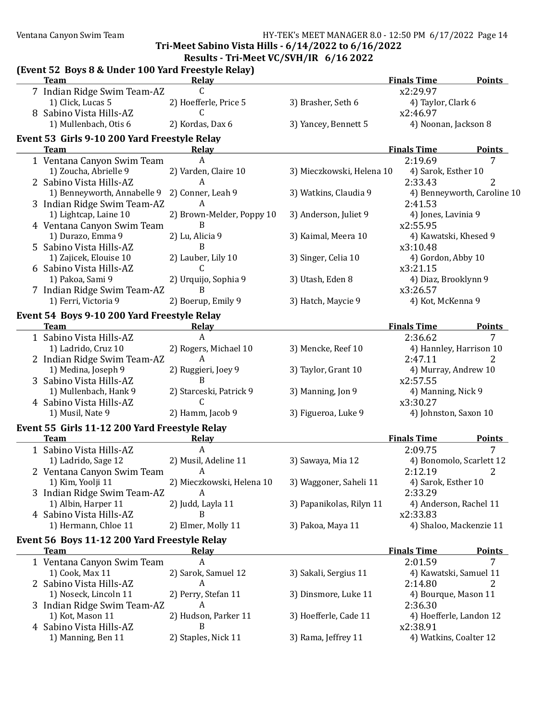Ventana Canyon Swim Team North Cameras And The HY-TEK's MEET MANAGER 8.0 - 12:50 PM 6/17/2022 Page 14

Tri-Meet Sabino Vista Hills - 6/14/2022 to 6/16/2022

#### (Event 52 Boys 8 & Under 100 Yard Freestyle Relay) **Team** Relay Relay **Relay Relay Relay Relay Relay Relay** Relations Relation Relations Relations Relations Relations Relations Relations Relations Relations Relations Relations Relations Relations Relations Relations Relati 7 Indian Ridge Swim Team-AZ C C and C and C and C and C and C and C and C and C and C and C and C and C and C and C and C and C and C and C and C and C and C and C and C and C and C and C and C and C and C and C and C and 1) Click, Lucas 5 2) Hoefferle, Price 5 3) Brasher, Seth 6 4) Taylor, Clark 6 8 Sabino Vista Hills-AZ C C contract the contract of the second value of the second value of the second value of the second value of the second value of the second value of the second value of the second value of the secon 1) Mullenbach, Otis 6 2) Kordas, Dax 6 3) Yancey, Bennett 5 4) Noonan, Jackson 8 Event 53 Girls 9-10 200 Yard Freestyle Relay **Team** Relay Relay **Relay Relay Relay Relay Relay Relay** Relay Relation Relation Relations Relation Relations Rela 1 Ventana Canyon Swim Team A 2:19.69 7 1) Zoucha, Abrielle 9 2) Varden, Claire 10 3) Mieczkowski, Helena 10 4) Sarok, Esther 10 2 Sabino Vista Hills-AZ  $\overline{A}$  A 2:33.43 2 1) Benneyworth, Annabelle 9 2) Conner, Leah 9 3) Watkins, Claudia 9 4) Benneyworth, Caroline 10 3 Indian Ridge Swim Team-AZ A 2:41.53<br>2 1.53 1) Lightcap, Laine 10 2) Brown-Melder, Poppy 10 3) Anderson, Juliet 9 4) Jones, Lavinia 9 1) Lightcap, Laine 10 2) Brown-Melder, Poppy 10 3) Anderson, Juliet 9 4 Ventana Canyon Swim Team B<br>1) Durazo, Emma 9 2) Lu, Alicia 9 3) Kaimal, Meera 10 4) Kaw 2) Lu, Alicia 9 3) Kaimal, Meera 10 4) Kawatski, Khesed 9 5 Sabino Vista Hills-AZ B and B and B and B and B and B and B and B and B and B and B and B and B and B and B and B and B and B and B and B and B and B and B and B and B and B and B and B and B and B and B and B and B and 1) Zajicek, Elouise 10 2) Lauber, Lily 10 3) Singer, Celia 10 4) Gordon, Abby 10 6 Sabino Vista Hills-AZ C C and C and C and C and C and C and C and C and C and C and C and C and C and C and C and C and C and C and C and C and C and C and C and C and C and C and C and C and C and C and C and C and C an 1) Pakoa, Sami 9 2) Urquijo, Sophia 9 3) Utash, Eden 8 4) Diaz, Brooklynn 9 7 Indian Ridge Swim Team-AZ B<br>1) Ferri, Victoria 9 (2) Boerup, Emily 9 (3) Hatch, Maycie 9 (4) Kot. 2) Boerup, Emily 9 3) Hatch, Maycie 9 4) Kot, McKenna 9 Event 54 Boys 9-10 200 Yard Freestyle Relay **Team** Relay Relay **Relay Relay Relay Relay Relay Relay** Relay Relations Relation Relations Relations Relations Rela 1 Sabino Vista Hills-AZ  $\overline{A}$  A 2:36.62 7 1) Ladrido, Cruz 10 2) Rogers, Michael 10 3) Mencke, Reef 10 4) Hannley, Harrison 10 2 Indian Ridge Swim Team-AZ A 2:47.11 2 1) Medina, Joseph 9 2) Ruggieri, Joey 9 3) Taylor, Grant 10 4) Murray, Andrew 10 3 Sabino Vista Hills-AZ B 3 Sabino Vista Hills-AZ 1) Mullenbach, Hank 9 2) Starceski, Patrick 9 3) Manning, Jon 9 4) Manning, Nick 9 4 Sabino Vista Hills-AZ C x3:30.27 1) Musil, Nate 9 2) Hamm, Jacob 9 3) Figueroa, Luke 9 4) Johnston, Saxon 10 Event 55 Girls 11-12 200 Yard Freestyle Relay **Team** Relay Relay **Relay Relay Relay Relay Relay Relay** Relation Points Relations and Points 1 Sabino Vista Hills-AZ  $\overline{A}$  and  $\overline{A}$  and  $\overline{A}$  and  $\overline{A}$  and  $\overline{A}$  and  $\overline{A}$  and  $\overline{A}$  and  $\overline{A}$  and  $\overline{A}$  and  $\overline{A}$  and  $\overline{A}$  and  $\overline{A}$  and  $\overline{A}$  and  $\overline{A}$  and  $\overline{A}$  and  $\over$ 1) Ladrido, Sage 12 2) Musil, Adeline 11 3) Sawaya, Mia 12 4) Bonomolo, Scarlett 12 2 Ventana Canyon Swim Team A 2:12.19 2 1) Kim, Yoolji 11 2) Mieczkowski, Helena 10 3) Waggoner, Saheli 11 4) Sarok, Esther 10 3 Indian Ridge Swim Team-AZ A 2:33.29 1) Albin, Harper 11 2) Judd, Layla 11 3) Papanikolas, Rilyn 11 4) Anderson, Rachel 11 4 Sabino Vista Hills-AZ B B 32:33.83 1) Hermann, Chloe 11 2) Elmer, Molly 11 3) Pakoa, Maya 11 4) Shaloo, Mackenzie 11 Event 56 Boys 11-12 200 Yard Freestyle Relay **Team** Relay Relay **Relay Relay Relay Relay Relay Relay** Relay Relation Relation Relations Relation Relations Rela 7 1 Ventana Canyon Swim Team  $\begin{array}{ccc} A & 2:01.59 \\ 1 & 2:01.59 \end{array}$  2:01.59 1) Cook, Max 11 2) Sarok, Samuel 12 3) Sakali, Sergius 11 4) Kawatski, Samuel 11 2 Sabino Vista Hills-AZ  $\overline{A}$  A 2:14.80 2 1) Noseck, Lincoln 11 2) Perry, Stefan 11 3) Dinsmore, Luke 11 4) Bourque, Mason 11 3 Indian Ridge Swim Team-AZ A 2:36.30 1) Kot, Mason 11 2) Hudson, Parker 11 3) Hoefferle, Cade 11 4) Hoefferle, Landon 12 4 Sabino Vista Hills-AZ B x2:38.91 1) Manning, Ben 11 2) Staples, Nick 11 3) Rama, Jeffrey 11 4) Watkins, Coalter 12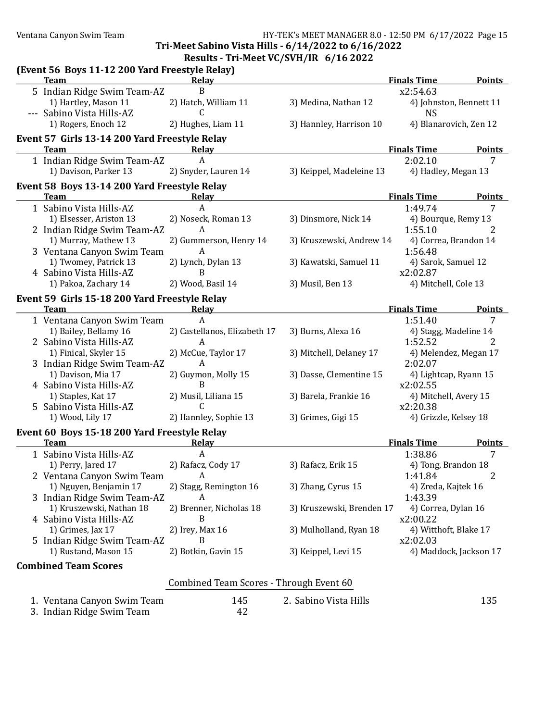### Ventana Canyon Swim Team HY-TEK's MEET MANAGER 8.0 - 12:50 PM 6/17/2022 Page 15

Tri-Meet Sabino Vista Hills - 6/14/2022 to 6/16/2022 Results - Tri-Meet VC/SVH/IR 6/16 2022

|                                         | (Event 56 Boys 11-12 200 Yard Freestyle Relay) |                              |                           |                        |                         |  |
|-----------------------------------------|------------------------------------------------|------------------------------|---------------------------|------------------------|-------------------------|--|
|                                         | <b>Team</b>                                    | Relay                        |                           | <b>Finals Time</b>     | <b>Points</b>           |  |
|                                         | 5 Indian Ridge Swim Team-AZ                    | B                            |                           | x2:54.63               |                         |  |
|                                         | 1) Hartley, Mason 11                           | 2) Hatch, William 11         | 3) Medina, Nathan 12      |                        | 4) Johnston, Bennett 11 |  |
|                                         | --- Sabino Vista Hills-AZ                      | C                            |                           | <b>NS</b>              |                         |  |
|                                         | 1) Rogers, Enoch 12                            | 2) Hughes, Liam 11           | 3) Hannley, Harrison 10   | 4) Blanarovich, Zen 12 |                         |  |
|                                         | Event 57 Girls 13-14 200 Yard Freestyle Relay  |                              |                           |                        |                         |  |
|                                         | Team                                           | Relay                        |                           | <b>Finals Time</b>     | <b>Points</b>           |  |
|                                         | 1 Indian Ridge Swim Team-AZ                    | A                            |                           | 2:02.10                | 7                       |  |
|                                         | 1) Davison, Parker 13                          | 2) Snyder, Lauren 14         | 3) Keippel, Madeleine 13  | 4) Hadley, Megan 13    |                         |  |
|                                         | Event 58 Boys 13-14 200 Yard Freestyle Relay   |                              |                           |                        |                         |  |
|                                         | <b>Team</b>                                    | <b>Relay</b>                 |                           | <b>Finals Time</b>     | <b>Points</b>           |  |
|                                         | 1 Sabino Vista Hills-AZ                        | A                            |                           | 1:49.74                | 7                       |  |
|                                         | 1) Elsesser, Ariston 13                        | 2) Noseck, Roman 13          | 3) Dinsmore, Nick 14      | 4) Bourque, Remy 13    |                         |  |
|                                         | 2 Indian Ridge Swim Team-AZ                    | A                            |                           | 1:55.10                | 2                       |  |
|                                         | 1) Murray, Mathew 13                           | 2) Gummerson, Henry 14       | 3) Kruszewski, Andrew 14  | 4) Correa, Brandon 14  |                         |  |
|                                         | 3 Ventana Canyon Swim Team                     | A                            |                           | 1:56.48                |                         |  |
|                                         | 1) Twomey, Patrick 13                          | 2) Lynch, Dylan 13           | 3) Kawatski, Samuel 11    | 4) Sarok, Samuel 12    |                         |  |
|                                         | 4 Sabino Vista Hills-AZ                        | B                            |                           | x2:02.87               |                         |  |
|                                         | 1) Pakoa, Zachary 14                           | 2) Wood, Basil 14            | 3) Musil, Ben 13          | 4) Mitchell, Cole 13   |                         |  |
|                                         | Event 59 Girls 15-18 200 Yard Freestyle Relay  |                              |                           |                        |                         |  |
|                                         | <b>Team</b>                                    | <b>Relay</b>                 |                           | <b>Finals Time</b>     | <b>Points</b>           |  |
|                                         | 1 Ventana Canyon Swim Team                     | $\mathbf{A}$                 |                           | 1:51.40                | 7                       |  |
|                                         | 1) Bailey, Bellamy 16                          | 2) Castellanos, Elizabeth 17 | 3) Burns, Alexa 16        | 4) Stagg, Madeline 14  |                         |  |
|                                         | 2 Sabino Vista Hills-AZ                        | A                            |                           | 1:52.52                | 2                       |  |
|                                         | 1) Finical, Skyler 15                          | 2) McCue, Taylor 17          | 3) Mitchell, Delaney 17   | 4) Melendez, Megan 17  |                         |  |
|                                         | 3 Indian Ridge Swim Team-AZ                    | A                            |                           | 2:02.07                |                         |  |
|                                         | 1) Davison, Mia 17                             | 2) Guymon, Molly 15          | 3) Dasse, Clementine 15   | 4) Lightcap, Ryann 15  |                         |  |
|                                         | 4 Sabino Vista Hills-AZ                        | B                            |                           | x2:02.55               |                         |  |
|                                         | 1) Staples, Kat 17                             | 2) Musil, Liliana 15         | 3) Barela, Frankie 16     | 4) Mitchell, Avery 15  |                         |  |
|                                         | 5 Sabino Vista Hills-AZ                        | C                            |                           | x2:20.38               |                         |  |
|                                         | 1) Wood, Lily 17                               | 2) Hannley, Sophie 13        | 3) Grimes, Gigi 15        | 4) Grizzle, Kelsey 18  |                         |  |
|                                         | Event 60 Boys 15-18 200 Yard Freestyle Relay   |                              |                           |                        |                         |  |
|                                         | <b>Team</b>                                    | <b>Relay</b>                 |                           | <b>Finals Time</b>     | <b>Points</b>           |  |
|                                         | 1 Sabino Vista Hills-AZ                        | A                            |                           | 1:38.86                | 7                       |  |
|                                         | 1) Perry, Jared 17                             | 2) Rafacz, Cody 17           | 3) Rafacz, Erik 15        | 4) Tong, Brandon 18    |                         |  |
|                                         | 2 Ventana Canyon Swim Team                     |                              |                           | 1:41.84                |                         |  |
|                                         | 1) Nguyen, Benjamin 17                         | 2) Stagg, Remington 16       | 3) Zhang, Cyrus 15        | 4) Zreda, Kajtek 16    |                         |  |
|                                         | 3 Indian Ridge Swim Team-AZ                    | A                            |                           | 1:43.39                |                         |  |
|                                         | 1) Kruszewski, Nathan 18                       | 2) Brenner, Nicholas 18      | 3) Kruszewski, Brenden 17 | 4) Correa, Dylan 16    |                         |  |
|                                         | 4 Sabino Vista Hills-AZ                        | B                            |                           | x2:00.22               |                         |  |
|                                         | 1) Grimes, Jax 17                              | 2) Irey, Max 16              | 3) Mulholland, Ryan 18    | 4) Witthoft, Blake 17  |                         |  |
|                                         | 5 Indian Ridge Swim Team-AZ                    | B                            |                           | x2:02.03               |                         |  |
|                                         | 1) Rustand, Mason 15                           | 2) Botkin, Gavin 15          | 3) Keippel, Levi 15       |                        | 4) Maddock, Jackson 17  |  |
|                                         | <b>Combined Team Scores</b>                    |                              |                           |                        |                         |  |
| Combined Team Scores - Through Event 60 |                                                |                              |                           |                        |                         |  |
|                                         |                                                |                              |                           |                        |                         |  |
|                                         | 1. Ventana Canyon Swim Team                    | 145                          | 2. Sabino Vista Hills     |                        | 135                     |  |
|                                         | 3. Indian Ridge Swim Team                      | 42                           |                           |                        |                         |  |